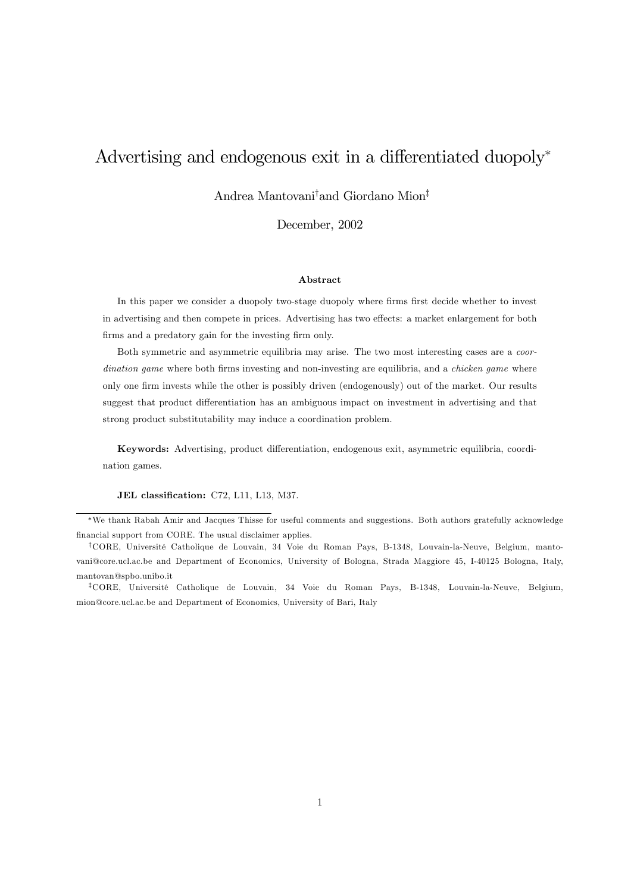# Advertising and endogenous exit in a differentiated duopoly<sup>∗</sup>

Andrea Mantovani† and Giordano Mion‡

December, 2002

### Abstract

In this paper we consider a duopoly two-stage duopoly where firms first decide whether to invest in advertising and then compete in prices. Advertising has two effects: a market enlargement for both firms and a predatory gain for the investing firm only.

Both symmetric and asymmetric equilibria may arise. The two most interesting cases are a coordination game where both firms investing and non-investing are equilibria, and a *chicken game* where only one firm invests while the other is possibly driven (endogenously) out of the market. Our results suggest that product differentiation has an ambiguous impact on investment in advertising and that strong product substitutability may induce a coordination problem.

Keywords: Advertising, product differentiation, endogenous exit, asymmetric equilibria, coordination games.

JEL classification: C72, L11, L13, M37.

∗We thank Rabah Amir and Jacques Thisse for useful comments and suggestions. Both authors gratefully acknowledge financial support from CORE. The usual disclaimer applies.

†CORE, Université Catholique de Louvain, 34 Voie du Roman Pays, B-1348, Louvain-la-Neuve, Belgium, mantovani@core.ucl.ac.be and Department of Economics, University of Bologna, Strada Maggiore 45, I-40125 Bologna, Italy, mantovan@spbo.unibo.it

‡CORE, Université Catholique de Louvain, 34 Voie du Roman Pays, B-1348, Louvain-la-Neuve, Belgium, mion@core.ucl.ac.be and Department of Economics, University of Bari, Italy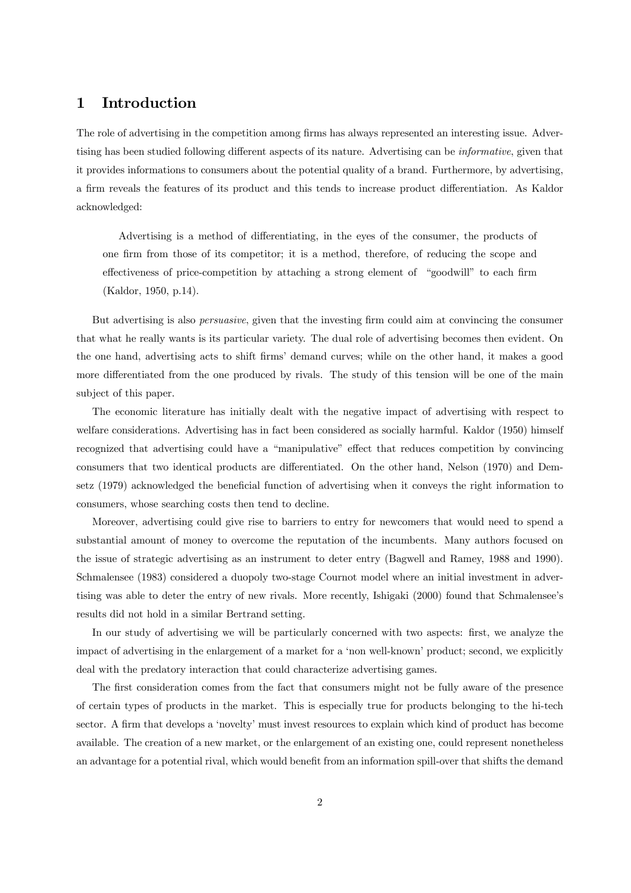# 1 Introduction

The role of advertising in the competition among firms has always represented an interesting issue. Advertising has been studied following different aspects of its nature. Advertising can be informative, given that it provides informations to consumers about the potential quality of a brand. Furthermore, by advertising, a firm reveals the features of its product and this tends to increase product differentiation. As Kaldor acknowledged:

Advertising is a method of differentiating, in the eyes of the consumer, the products of one firm from those of its competitor; it is a method, therefore, of reducing the scope and effectiveness of price-competition by attaching a strong element of "goodwill" to each firm (Kaldor, 1950, p.14).

But advertising is also persuasive, given that the investing firm could aim at convincing the consumer that what he really wants is its particular variety. The dual role of advertising becomes then evident. On the one hand, advertising acts to shift firms' demand curves; while on the other hand, it makes a good more differentiated from the one produced by rivals. The study of this tension will be one of the main subject of this paper.

The economic literature has initially dealt with the negative impact of advertising with respect to welfare considerations. Advertising has in fact been considered as socially harmful. Kaldor (1950) himself recognized that advertising could have a "manipulative" effect that reduces competition by convincing consumers that two identical products are differentiated. On the other hand, Nelson (1970) and Demsetz (1979) acknowledged the beneficial function of advertising when it conveys the right information to consumers, whose searching costs then tend to decline.

Moreover, advertising could give rise to barriers to entry for newcomers that would need to spend a substantial amount of money to overcome the reputation of the incumbents. Many authors focused on the issue of strategic advertising as an instrument to deter entry (Bagwell and Ramey, 1988 and 1990). Schmalensee (1983) considered a duopoly two-stage Cournot model where an initial investment in advertising was able to deter the entry of new rivals. More recently, Ishigaki (2000) found that Schmalensee's results did not hold in a similar Bertrand setting.

In our study of advertising we will be particularly concerned with two aspects: first, we analyze the impact of advertising in the enlargement of a market for a 'non well-known' product; second, we explicitly deal with the predatory interaction that could characterize advertising games.

The first consideration comes from the fact that consumers might not be fully aware of the presence of certain types of products in the market. This is especially true for products belonging to the hi-tech sector. A firm that develops a 'novelty' must invest resources to explain which kind of product has become available. The creation of a new market, or the enlargement of an existing one, could represent nonetheless an advantage for a potential rival, which would benefit from an information spill-over that shifts the demand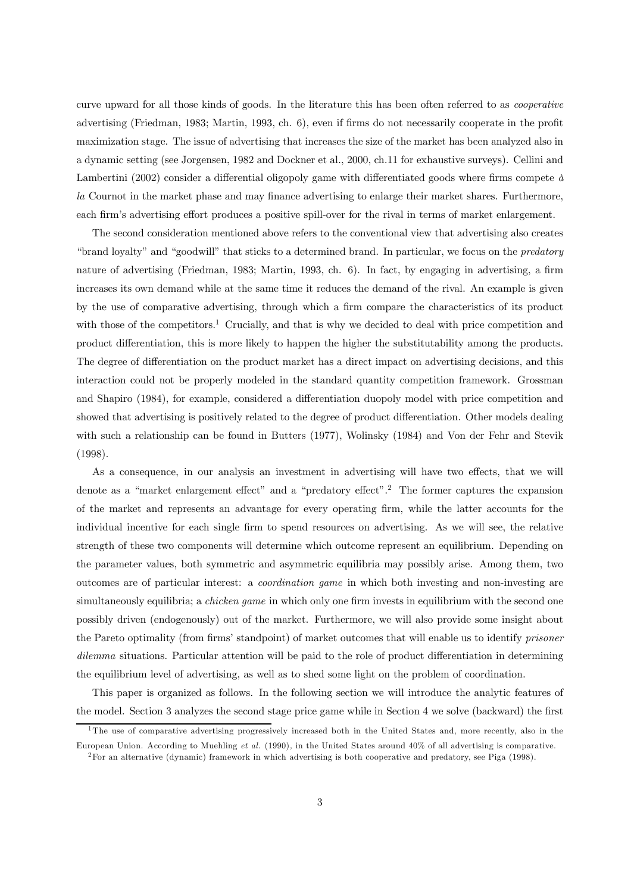curve upward for all those kinds of goods. In the literature this has been often referred to as cooperative advertising (Friedman, 1983; Martin, 1993, ch. 6), even if firms do not necessarily cooperate in the profit maximization stage. The issue of advertising that increases the size of the market has been analyzed also in a dynamic setting (see Jorgensen, 1982 and Dockner et al., 2000, ch.11 for exhaustive surveys). Cellini and Lambertini (2002) consider a differential oligopoly game with differentiated goods where firms compete  $\dot{a}$ la Cournot in the market phase and may finance advertising to enlarge their market shares. Furthermore, each firm's advertising effort produces a positive spill-over for the rival in terms of market enlargement.

The second consideration mentioned above refers to the conventional view that advertising also creates "brand loyalty" and "goodwill" that sticks to a determined brand. In particular, we focus on the predatory nature of advertising (Friedman, 1983; Martin, 1993, ch. 6). In fact, by engaging in advertising, a firm increases its own demand while at the same time it reduces the demand of the rival. An example is given by the use of comparative advertising, through which a firm compare the characteristics of its product with those of the competitors.<sup>1</sup> Crucially, and that is why we decided to deal with price competition and product differentiation, this is more likely to happen the higher the substitutability among the products. The degree of differentiation on the product market has a direct impact on advertising decisions, and this interaction could not be properly modeled in the standard quantity competition framework. Grossman and Shapiro (1984), for example, considered a differentiation duopoly model with price competition and showed that advertising is positively related to the degree of product differentiation. Other models dealing with such a relationship can be found in Butters (1977), Wolinsky (1984) and Von der Fehr and Stevik (1998).

As a consequence, in our analysis an investment in advertising will have two effects, that we will denote as a "market enlargement effect" and a "predatory effect".2 The former captures the expansion of the market and represents an advantage for every operating firm, while the latter accounts for the individual incentive for each single firm to spend resources on advertising. As we will see, the relative strength of these two components will determine which outcome represent an equilibrium. Depending on the parameter values, both symmetric and asymmetric equilibria may possibly arise. Among them, two outcomes are of particular interest: a coordination game in which both investing and non-investing are simultaneously equilibria; a *chicken game* in which only one firm invests in equilibrium with the second one possibly driven (endogenously) out of the market. Furthermore, we will also provide some insight about the Pareto optimality (from firms' standpoint) of market outcomes that will enable us to identify prisoner dilemma situations. Particular attention will be paid to the role of product differentiation in determining the equilibrium level of advertising, as well as to shed some light on the problem of coordination.

This paper is organized as follows. In the following section we will introduce the analytic features of the model. Section 3 analyzes the second stage price game while in Section 4 we solve (backward) the first

<sup>&</sup>lt;sup>1</sup>The use of comparative advertising progressively increased both in the United States and, more recently, also in the European Union. According to Muehling et al. (1990), in the United States around 40% of all advertising is comparative.

<sup>2</sup>For an alternative (dynamic) framework in which advertising is both cooperative and predatory, see Piga (1998).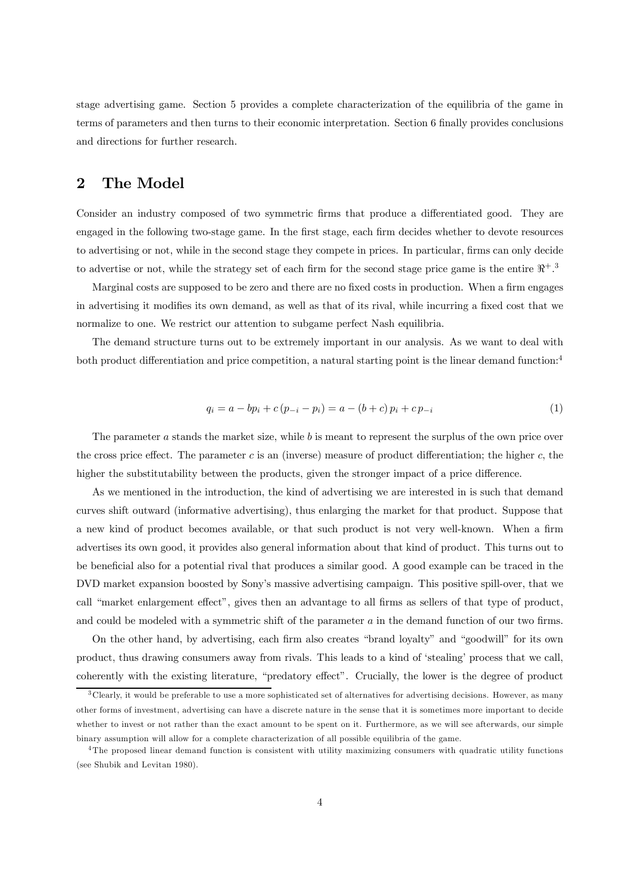stage advertising game. Section 5 provides a complete characterization of the equilibria of the game in terms of parameters and then turns to their economic interpretation. Section 6 finally provides conclusions and directions for further research.

# 2 The Model

Consider an industry composed of two symmetric firms that produce a differentiated good. They are engaged in the following two-stage game. In the first stage, each firm decides whether to devote resources to advertising or not, while in the second stage they compete in prices. In particular, firms can only decide to advertise or not, while the strategy set of each firm for the second stage price game is the entire  $\Re^+$ .<sup>3</sup>

Marginal costs are supposed to be zero and there are no fixed costs in production. When a firm engages in advertising it modifies its own demand, as well as that of its rival, while incurring a fixed cost that we normalize to one. We restrict our attention to subgame perfect Nash equilibria.

The demand structure turns out to be extremely important in our analysis. As we want to deal with both product differentiation and price competition, a natural starting point is the linear demand function:<sup>4</sup>

$$
q_i = a - bp_i + c(p_{-i} - p_i) = a - (b + c)p_i + cp_{-i}
$$
\n(1)

The parameter a stands the market size, while b is meant to represent the surplus of the own price over the cross price effect. The parameter c is an (inverse) measure of product differentiation; the higher c, the higher the substitutability between the products, given the stronger impact of a price difference.

As we mentioned in the introduction, the kind of advertising we are interested in is such that demand curves shift outward (informative advertising), thus enlarging the market for that product. Suppose that a new kind of product becomes available, or that such product is not very well-known. When a firm advertises its own good, it provides also general information about that kind of product. This turns out to be beneficial also for a potential rival that produces a similar good. A good example can be traced in the DVD market expansion boosted by Sony's massive advertising campaign. This positive spill-over, that we call "market enlargement effect", gives then an advantage to all firms as sellers of that type of product, and could be modeled with a symmetric shift of the parameter a in the demand function of our two firms.

On the other hand, by advertising, each firm also creates "brand loyalty" and "goodwill" for its own product, thus drawing consumers away from rivals. This leads to a kind of 'stealing' process that we call, coherently with the existing literature, "predatory effect". Crucially, the lower is the degree of product

 $3$ Clearly, it would be preferable to use a more sophisticated set of alternatives for advertising decisions. However, as many other forms of investment, advertising can have a discrete nature in the sense that it is sometimes more important to decide whether to invest or not rather than the exact amount to be spent on it. Furthermore, as we will see afterwards, our simple binary assumption will allow for a complete characterization of all possible equilibria of the game.

<sup>4</sup>The proposed linear demand function is consistent with utility maximizing consumers with quadratic utility functions (see Shubik and Levitan 1980).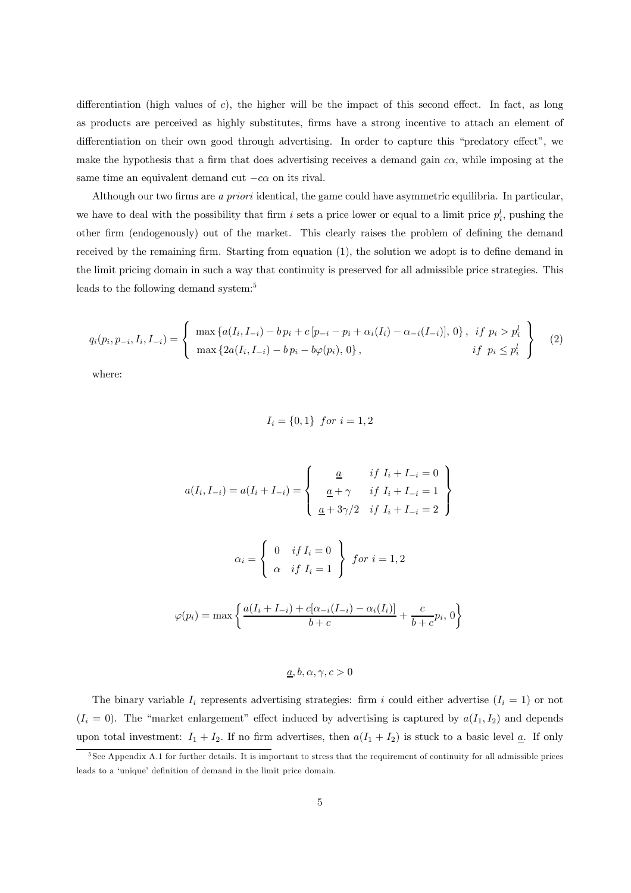differentiation (high values of c), the higher will be the impact of this second effect. In fact, as long as products are perceived as highly substitutes, firms have a strong incentive to attach an element of differentiation on their own good through advertising. In order to capture this "predatory effect", we make the hypothesis that a firm that does advertising receives a demand gain  $c\alpha$ , while imposing at the same time an equivalent demand cut  $-c\alpha$  on its rival.

Although our two firms are a priori identical, the game could have asymmetric equilibria. In particular, we have to deal with the possibility that firm i sets a price lower or equal to a limit price  $p_i^l$ , pushing the other firm (endogenously) out of the market. This clearly raises the problem of defining the demand received by the remaining firm. Starting from equation (1), the solution we adopt is to define demand in the limit pricing domain in such a way that continuity is preserved for all admissible price strategies. This leads to the following demand system:<sup>5</sup>

$$
q_i(p_i, p_{-i}, I_i, I_{-i}) = \begin{cases} \max \{a(I_i, I_{-i}) - b p_i + c [p_{-i} - p_i + \alpha_i(I_i) - \alpha_{-i}(I_{-i})], 0\}, & if \ p_i > p_i^l \\ \max \{2a(I_i, I_{-i}) - b p_i - b \varphi(p_i), 0\}, & if \ p_i \le p_i^l \end{cases}
$$
 (2)

where:

$$
I_i = \{0,1\} \;\; for \; i=1,2
$$

$$
a(I_i, I_{-i}) = a(I_i + I_{-i}) = \begin{cases} \frac{a}{a} & if I_i + I_{-i} = 0 \\ \frac{a}{a} + \gamma & if I_i + I_{-i} = 1 \\ \frac{a}{a} + 3\gamma/2 & if I_i + I_{-i} = 2 \end{cases}
$$

$$
\alpha_i = \begin{cases} 0 & if I_i = 0 \\ \alpha & if I_i = 1 \end{cases} \quad for \ i = 1, 2
$$

$$
\varphi(p_i) = \max \left\{ \frac{a(I_i + I_{-i}) + c[\alpha_{-i}(I_{-i}) - \alpha_i(I_i)]}{b + c} + \frac{c}{b + c} p_i, 0 \right\}
$$

### $\underline{a}, b, \alpha, \gamma, c > 0$

The binary variable  $I_i$  represents advertising strategies: firm i could either advertise  $(I_i = 1)$  or not  $(I_i = 0)$ . The "market enlargement" effect induced by advertising is captured by  $a(I_1, I_2)$  and depends upon total investment:  $I_1 + I_2$ . If no firm advertises, then  $a(I_1 + I_2)$  is stuck to a basic level  $\underline{a}$ . If only

<sup>&</sup>lt;sup>5</sup> See Appendix A.1 for further details. It is important to stress that the requirement of continuity for all admissible prices leads to a 'unique' definition of demand in the limit price domain.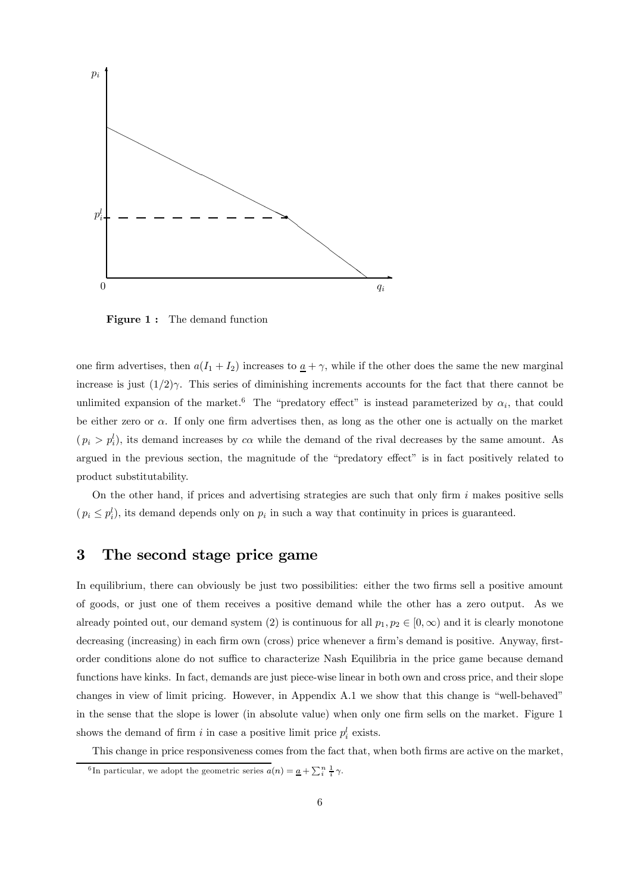

Figure 1: The demand function

one firm advertises, then  $a(I_1 + I_2)$  increases to  $\underline{a} + \gamma$ , while if the other does the same the new marginal increase is just  $(1/2)\gamma$ . This series of diminishing increments accounts for the fact that there cannot be unlimited expansion of the market.<sup>6</sup> The "predatory effect" is instead parameterized by  $\alpha_i$ , that could be either zero or  $\alpha$ . If only one firm advertises then, as long as the other one is actually on the market  $(p_i > p_i^l)$ , its demand increases by  $c\alpha$  while the demand of the rival decreases by the same amount. As argued in the previous section, the magnitude of the "predatory effect" is in fact positively related to product substitutability.

On the other hand, if prices and advertising strategies are such that only firm  $i$  makes positive sells  $(p_i \leq p_i^l)$ , its demand depends only on  $p_i$  in such a way that continuity in prices is guaranteed.

# 3 The second stage price game

In equilibrium, there can obviously be just two possibilities: either the two firms sell a positive amount of goods, or just one of them receives a positive demand while the other has a zero output. As we already pointed out, our demand system (2) is continuous for all  $p_1, p_2 \in [0, \infty)$  and it is clearly monotone decreasing (increasing) in each firm own (cross) price whenever a firm's demand is positive. Anyway, firstorder conditions alone do not suffice to characterize Nash Equilibria in the price game because demand functions have kinks. In fact, demands are just piece-wise linear in both own and cross price, and their slope changes in view of limit pricing. However, in Appendix A.1 we show that this change is "well-behaved" in the sense that the slope is lower (in absolute value) when only one firm sells on the market. Figure 1 shows the demand of firm i in case a positive limit price  $p_i^l$  exists.

This change in price responsiveness comes from the fact that, when both firms are active on the market,

<sup>&</sup>lt;sup>6</sup>In particular, we adopt the geometric series  $a(n) = \underline{a} + \sum_{i}^{n} \frac{1}{i} \gamma$ .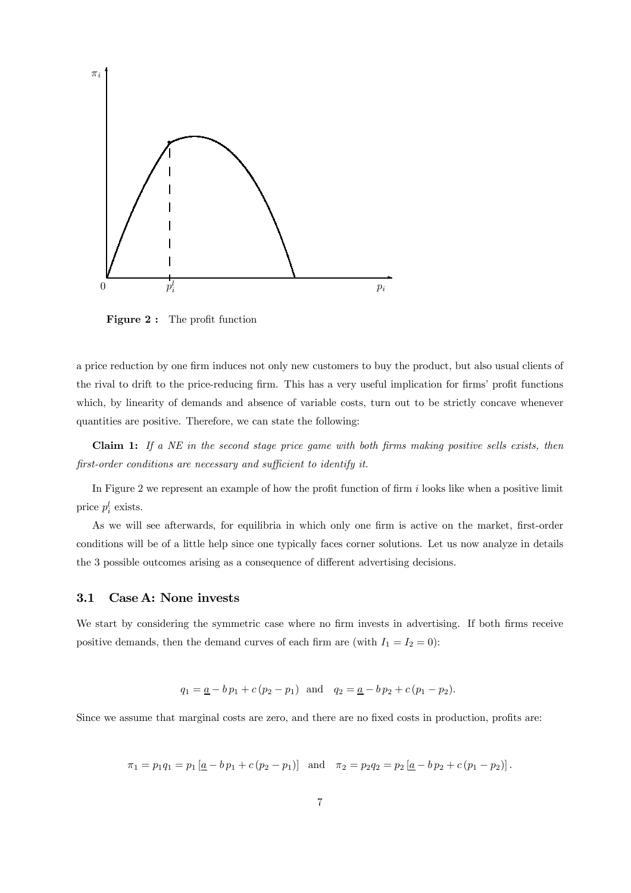

Figure 2: The profit function

a price reduction by one firm induces not only new customers to buy the product, but also usual clients of the rival to drift to the price-reducing firm. This has a very useful implication for firms' profit functions which, by linearity of demands and absence of variable costs, turn out to be strictly concave whenever quantities are positive. Therefore, we can state the following:

**Claim 1:** If a  $NE$  in the second stage price game with both firms making positive sells exists, then first-order conditions are necessary and sufficient to identify it.

In Figure 2 we represent an example of how the profit function of firm  $i$  looks like when a positive limit price  $p_i^l$  exists.

As we will see afterwards, for equilibria in which only one firm is active on the market, first-order conditions will be of a little help since one typically faces corner solutions. Let us now analyze in details the 3 possible outcomes arising as a consequence of different advertising decisions.

### 3.1 Case A: None invests

We start by considering the symmetric case where no firm invests in advertising. If both firms receive positive demands, then the demand curves of each firm are (with  $I_1 = I_2 = 0$ ):

$$
q_1 = \underline{a} - b p_1 + c (p_2 - p_1)
$$
 and  $q_2 = \underline{a} - b p_2 + c (p_1 - p_2)$ .

Since we assume that marginal costs are zero, and there are no fixed costs in production, profits are:

 $\pi_1 = p_1 q_1 = p_1 [\underline{a} - b p_1 + c (p_2 - p_1)]$  and  $\pi_2 = p_2 q_2 = p_2 [\underline{a} - b p_2 + c (p_1 - p_2)].$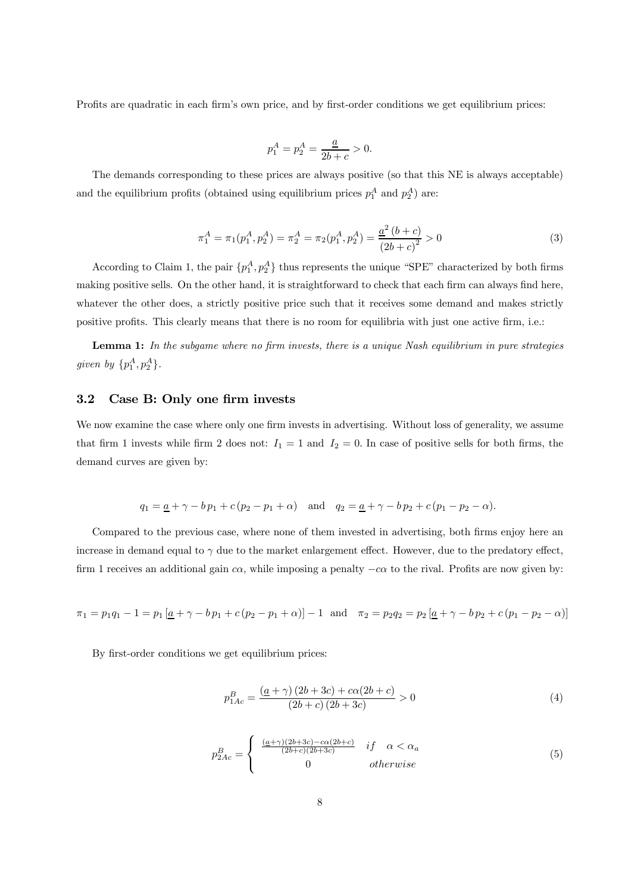Profits are quadratic in each firm's own price, and by first-order conditions we get equilibrium prices:

$$
p_1^A = p_2^A = \frac{\underline{a}}{2b + c} > 0.
$$

The demands corresponding to these prices are always positive (so that this NE is always acceptable) and the equilibrium profits (obtained using equilibrium prices  $p_1^A$  and  $p_2^A$ ) are:

$$
\pi_1^A = \pi_1(p_1^A, p_2^A) = \pi_2^A = \pi_2(p_1^A, p_2^A) = \frac{a^2 (b + c)}{(2b + c)^2} > 0
$$
\n(3)

According to Claim 1, the pair  $\{p_1^A, p_2^A\}$  thus represents the unique "SPE" characterized by both firms making positive sells. On the other hand, it is straightforward to check that each firm can always find here, whatever the other does, a strictly positive price such that it receives some demand and makes strictly positive profits. This clearly means that there is no room for equilibria with just one active firm, i.e.:

Lemma 1: In the subgame where no firm invests, there is a unique Nash equilibrium in pure strategies given by  $\{p_1^A, p_2^A\}.$ 

## 3.2 Case B: Only one firm invests

We now examine the case where only one firm invests in advertising. Without loss of generality, we assume that firm 1 invests while firm 2 does not:  $I_1 = 1$  and  $I_2 = 0$ . In case of positive sells for both firms, the demand curves are given by:

$$
q_1 = \underline{a} + \gamma - b p_1 + c (p_2 - p_1 + \alpha)
$$
 and  $q_2 = \underline{a} + \gamma - b p_2 + c (p_1 - p_2 - \alpha)$ .

Compared to the previous case, where none of them invested in advertising, both firms enjoy here an increase in demand equal to  $\gamma$  due to the market enlargement effect. However, due to the predatory effect, firm 1 receives an additional gain  $c\alpha$ , while imposing a penalty  $-c\alpha$  to the rival. Profits are now given by:

$$
\pi_1 = p_1 q_1 - 1 = p_1 \left[ \underline{a} + \gamma - b p_1 + c (p_2 - p_1 + \alpha) \right] - 1 \quad \text{and} \quad \pi_2 = p_2 q_2 = p_2 \left[ \underline{a} + \gamma - b p_2 + c (p_1 - p_2 - \alpha) \right]
$$

By first-order conditions we get equilibrium prices:

$$
p_{1Ac}^{B} = \frac{(a + \gamma)(2b + 3c) + c\alpha(2b + c)}{(2b + c)(2b + 3c)} > 0
$$
\n(4)

$$
p_{2Ac}^{B} = \begin{cases} \frac{(\underline{a} + \gamma)(2b + 3c) - c\alpha(2b + c)}{(2b + c)(2b + 3c)} & \text{if } \alpha < \alpha_a\\ 0 & \text{otherwise} \end{cases}
$$
(5)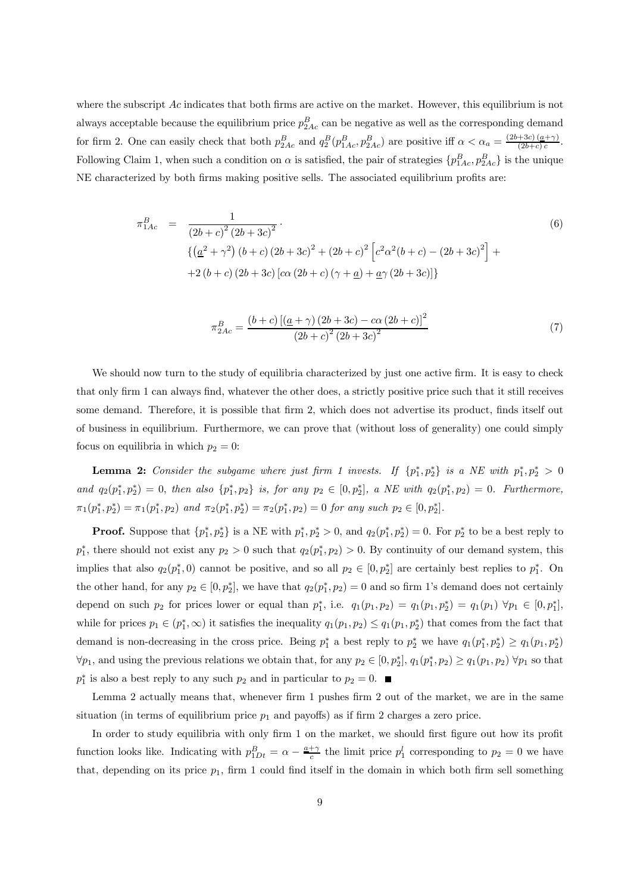where the subscript  $Ac$  indicates that both firms are active on the market. However, this equilibrium is not always acceptable because the equilibrium price  $p_{2Ac}^B$  can be negative as well as the corresponding demand for firm 2. One can easily check that both  $p_{2Ac}^B$  and  $q_2^B(p_{1Ac}^B, p_{2Ac}^B)$  are positive iff  $\alpha < \alpha_a = \frac{(2b+3c)(a+\gamma)}{(2b+c)c}$ . Following Claim 1, when such a condition on  $\alpha$  is satisfied, the pair of strategies  $\{p_{1Ac}^B, p_{2Ac}^B\}$  is the unique NE characterized by both firms making positive sells. The associated equilibrium profits are:

$$
\pi_{1Ac}^{B} = \frac{1}{(2b+c)^{2}(2b+3c)^{2}}.
$$
\n
$$
\left\{ \left( \underline{a}^{2} + \gamma^{2} \right) \left( b+c \right) \left( 2b+3c \right)^{2} + \left( 2b+c \right)^{2} \left[ c^{2} \alpha^{2} (b+c) - \left( 2b+3c \right)^{2} \right] + \right\}
$$
\n
$$
+2 \left( b+c \right) \left( 2b+3c \right) \left[ c\alpha \left( 2b+c \right) \left( \gamma + \underline{a} \right) + \underline{a} \gamma \left( 2b+3c \right) \right] \right\}
$$
\n(6)

$$
\pi_{2Ac}^{B} = \frac{(b+c)\left[ (\underline{a} + \gamma)(2b+3c) - c\alpha (2b+c) \right]^2}{(2b+c)^2 (2b+3c)^2}
$$
\n(7)

We should now turn to the study of equilibria characterized by just one active firm. It is easy to check that only firm 1 can always find, whatever the other does, a strictly positive price such that it still receives some demand. Therefore, it is possible that firm 2, which does not advertise its product, finds itself out of business in equilibrium. Furthermore, we can prove that (without loss of generality) one could simply focus on equilibria in which  $p_2 = 0$ :

**Lemma 2:** Consider the subgame where just firm 1 invests. If  $\{p_1^*, p_2^*\}$  is a NE with  $p_1^*, p_2^* > 0$ and  $q_2(p_1^*, p_2^*) = 0$ , then also  $\{p_1^*, p_2\}$  is, for any  $p_2 \in [0, p_2^*]$ , a NE with  $q_2(p_1^*, p_2) = 0$ . Furthermore,  $\pi_1(p_1^*, p_2^*) = \pi_1(p_1^*, p_2)$  and  $\pi_2(p_1^*, p_2^*) = \pi_2(p_1^*, p_2) = 0$  for any such  $p_2 \in [0, p_2^*]$ .

**Proof.** Suppose that  $\{p_1^*, p_2^*\}$  is a NE with  $p_1^*, p_2^* > 0$ , and  $q_2(p_1^*, p_2^*) = 0$ . For  $p_2^*$  to be a best reply to  $p_1^*$ , there should not exist any  $p_2 > 0$  such that  $q_2(p_1^*, p_2) > 0$ . By continuity of our demand system, this implies that also  $q_2(p_1^*,0)$  cannot be positive, and so all  $p_2 \in [0,p_2^*]$  are certainly best replies to  $p_1^*$ . On the other hand, for any  $p_2 \in [0, p_2^*]$ , we have that  $q_2(p_1^*, p_2) = 0$  and so firm 1's demand does not certainly depend on such  $p_2$  for prices lower or equal than  $p_1^*$ , i.e.  $q_1(p_1, p_2) = q_1(p_1, p_2^*) = q_1(p_1) \,\,\forall p_1 \in [0, p_1^*]$ , while for prices  $p_1 \in (p_1^*, \infty)$  it satisfies the inequality  $q_1(p_1, p_2) \leq q_1(p_1, p_2^*)$  that comes from the fact that demand is non-decreasing in the cross price. Being  $p_1^*$  a best reply to  $p_2^*$  we have  $q_1(p_1^*, p_2^*) \ge q_1(p_1, p_2^*)$  $\forall p_1$ , and using the previous relations we obtain that, for any  $p_2 \in [0, p_2^*], q_1(p_1^*, p_2) \ge q_1(p_1, p_2) \,\forall p_1$  so that  $p_1^*$  is also a best reply to any such  $p_2$  and in particular to  $p_2 = 0$ .

Lemma 2 actually means that, whenever firm 1 pushes firm 2 out of the market, we are in the same situation (in terms of equilibrium price  $p_1$  and payoffs) as if firm 2 charges a zero price.

In order to study equilibria with only firm 1 on the market, we should first figure out how its profit function looks like. Indicating with  $p_{1Dt}^B = \alpha - \frac{a+\gamma}{c}$  the limit price  $p_1^l$  corresponding to  $p_2 = 0$  we have that, depending on its price  $p_1$ , firm 1 could find itself in the domain in which both firm sell something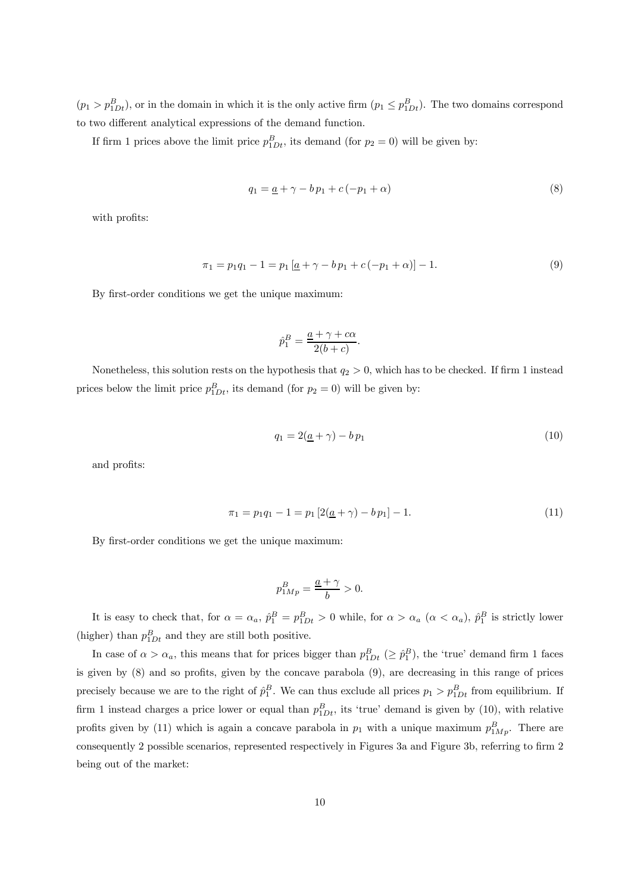$(p_1 > p_{1Dt}^B)$ , or in the domain in which it is the only active firm  $(p_1 \leq p_{1Dt}^B)$ . The two domains correspond to two different analytical expressions of the demand function.

If firm 1 prices above the limit price  $p_{1Dt}^B$ , its demand (for  $p_2 = 0$ ) will be given by:

$$
q_1 = \underline{a} + \gamma - b p_1 + c(-p_1 + \alpha) \tag{8}
$$

with profits:

$$
\pi_1 = p_1 q_1 - 1 = p_1 \left[ \underline{a} + \gamma - b \, p_1 + c \left( -p_1 + \alpha \right) \right] - 1. \tag{9}
$$

By first-order conditions we get the unique maximum:

$$
\hat{p}_1^B = \frac{\underline{a} + \gamma + c\alpha}{2(b+c)}.
$$

Nonetheless, this solution rests on the hypothesis that  $q_2 > 0$ , which has to be checked. If firm 1 instead prices below the limit price  $p_{1Dt}^B$ , its demand (for  $p_2 = 0$ ) will be given by:

$$
q_1 = 2(\underline{a} + \gamma) - b p_1 \tag{10}
$$

and profits:

$$
\pi_1 = p_1 q_1 - 1 = p_1 \left[ 2(\underline{a} + \gamma) - b p_1 \right] - 1. \tag{11}
$$

By first-order conditions we get the unique maximum:

$$
p_{1Mp}^B = \frac{\underline{a} + \gamma}{b} > 0.
$$

It is easy to check that, for  $\alpha = \alpha_a$ ,  $\hat{p}_1^B = p_{1Dt}^B > 0$  while, for  $\alpha > \alpha_a$   $(\alpha < \alpha_a)$ ,  $\hat{p}_1^B$  is strictly lower (higher) than  $p_{1Dt}^B$  and they are still both positive.

In case of  $\alpha > \alpha_a$ , this means that for prices bigger than  $p_{1Dt}^B$  ( $\geq \hat{p}_1^B$ ), the 'true' demand firm 1 faces is given by (8) and so profits, given by the concave parabola (9), are decreasing in this range of prices precisely because we are to the right of  $\hat{p}_1^B$ . We can thus exclude all prices  $p_1 > p_{1Dt}^B$  from equilibrium. If firm 1 instead charges a price lower or equal than  $p_{1Dt}^B$ , its 'true' demand is given by (10), with relative profits given by (11) which is again a concave parabola in  $p_1$  with a unique maximum  $p_{1Mp}^B$ . There are consequently 2 possible scenarios, represented respectively in Figures 3a and Figure 3b, referring to firm 2 being out of the market: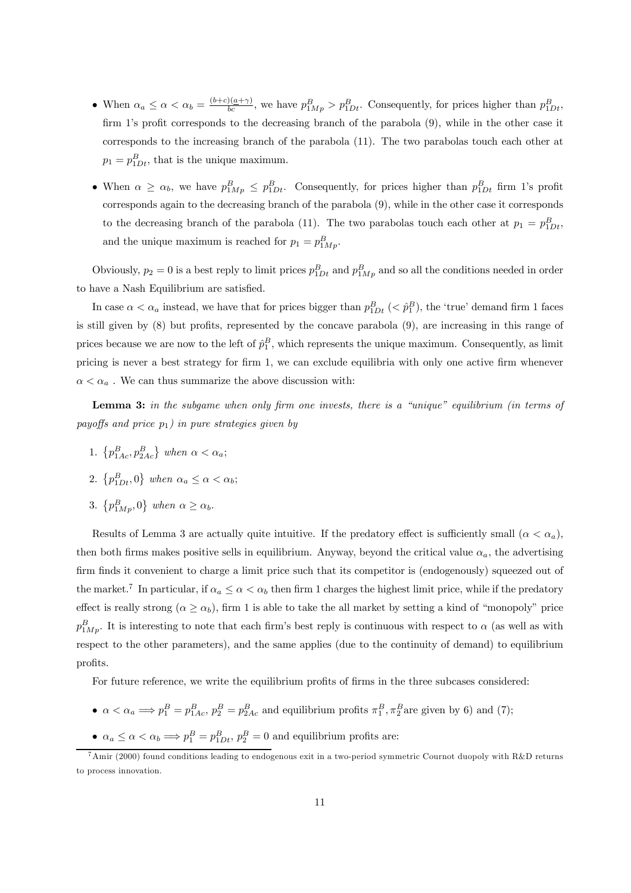- When  $\alpha_a \le \alpha < \alpha_b = \frac{(b+c)(a+\gamma)}{bc}$ , we have  $p_{1Mp}^B > p_{1Dt}^B$ . Consequently, for prices higher than  $p_{1Dt}^B$ , firm 1's profit corresponds to the decreasing branch of the parabola (9), while in the other case it corresponds to the increasing branch of the parabola (11). The two parabolas touch each other at  $p_1 = p_{1Dt}^B$ , that is the unique maximum.
- When  $\alpha \ge \alpha_b$ , we have  $p_{1Mp}^B \le p_{1Dt}^B$ . Consequently, for prices higher than  $p_{1Dt}^B$  firm 1's profit corresponds again to the decreasing branch of the parabola (9), while in the other case it corresponds to the decreasing branch of the parabola (11). The two parabolas touch each other at  $p_1 = p_{1Dt}^B$ , and the unique maximum is reached for  $p_1 = p_{1Mp}^B$ .

Obviously,  $p_2 = 0$  is a best reply to limit prices  $p_{1Dt}^B$  and  $p_{1Mp}^B$  and so all the conditions needed in order to have a Nash Equilibrium are satisfied.

In case  $\alpha < \alpha_a$  instead, we have that for prices bigger than  $p_{1Dt}^B$  ( $\lt \hat{p}_1^B$ ), the 'true' demand firm 1 faces is still given by (8) but profits, represented by the concave parabola (9), are increasing in this range of prices because we are now to the left of  $\hat{p}_1^B$ , which represents the unique maximum. Consequently, as limit pricing is never a best strategy for firm 1, we can exclude equilibria with only one active firm whenever  $\alpha<\alpha_a$  . We can thus summarize the above discussion with:

Lemma 3: in the subgame when only firm one invests, there is a "unique" equilibrium (in terms of payoffs and price  $p_1$ ) in pure strategies given by

- 1.  $\{p_{1Ac}^B, p_{2Ac}^B\}$  when  $\alpha < \alpha_a$ ;
- 2.  $\{p_{1Dt}^B, 0\}$  when  $\alpha_a \le \alpha < \alpha_b$ ;
- 3.  $\{p_{1Mp}^B, 0\}$  when  $\alpha \ge \alpha_b$ .

Results of Lemma 3 are actually quite intuitive. If the predatory effect is sufficiently small  $(\alpha < \alpha_a)$ , then both firms makes positive sells in equilibrium. Anyway, beyond the critical value  $\alpha_a$ , the advertising firm finds it convenient to charge a limit price such that its competitor is (endogenously) squeezed out of the market.<sup>7</sup> In particular, if  $\alpha_a \leq \alpha < \alpha_b$  then firm 1 charges the highest limit price, while if the predatory effect is really strong  $(\alpha \ge \alpha_b)$ , firm 1 is able to take the all market by setting a kind of "monopoly" price  $p_{1Mp}^B$ . It is interesting to note that each firm's best reply is continuous with respect to  $\alpha$  (as well as with respect to the other parameters), and the same applies (due to the continuity of demand) to equilibrium profits.

For future reference, we write the equilibrium profits of firms in the three subcases considered:

- $\alpha < \alpha_a \Longrightarrow p_1^B = p_{1Ac}^B$ ,  $p_2^B = p_{2Ac}^B$  and equilibrium profits  $\pi_1^B$ ,  $\pi_2^B$  are given by 6) and (7);
- $\alpha_a \leq \alpha < \alpha_b \Longrightarrow p_1^B = p_{1Dt}^B$ ,  $p_2^B = 0$  and equilibrium profits are:

<sup>&</sup>lt;sup>7</sup>Amir (2000) found conditions leading to endogenous exit in a two-period symmetric Cournot duopoly with R&D returns to process innovation.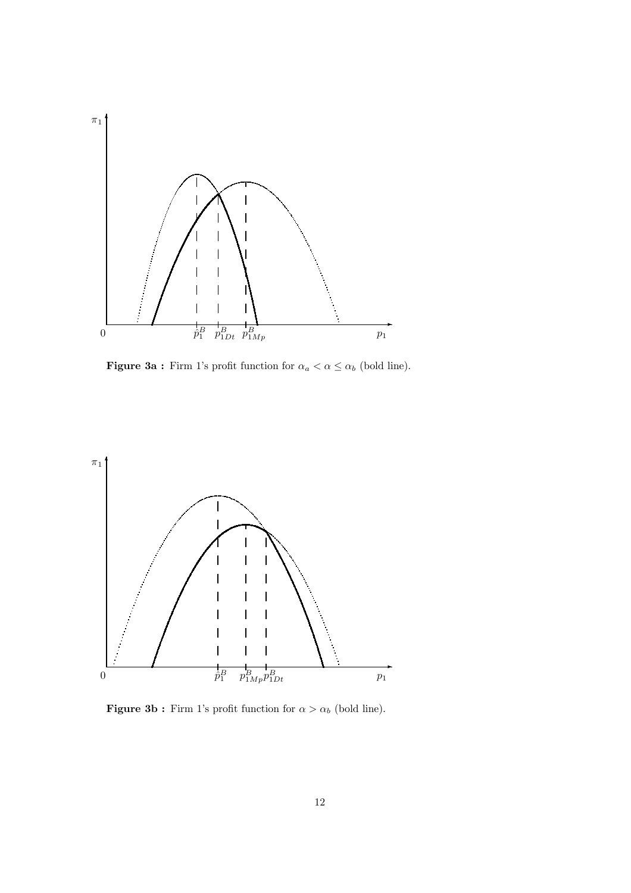

Figure 3a : Firm 1's profit function for  $\alpha_a < \alpha \leq \alpha_b$  (bold line).



Figure 3b : Firm 1's profit function for  $\alpha > \alpha_b$  (bold line).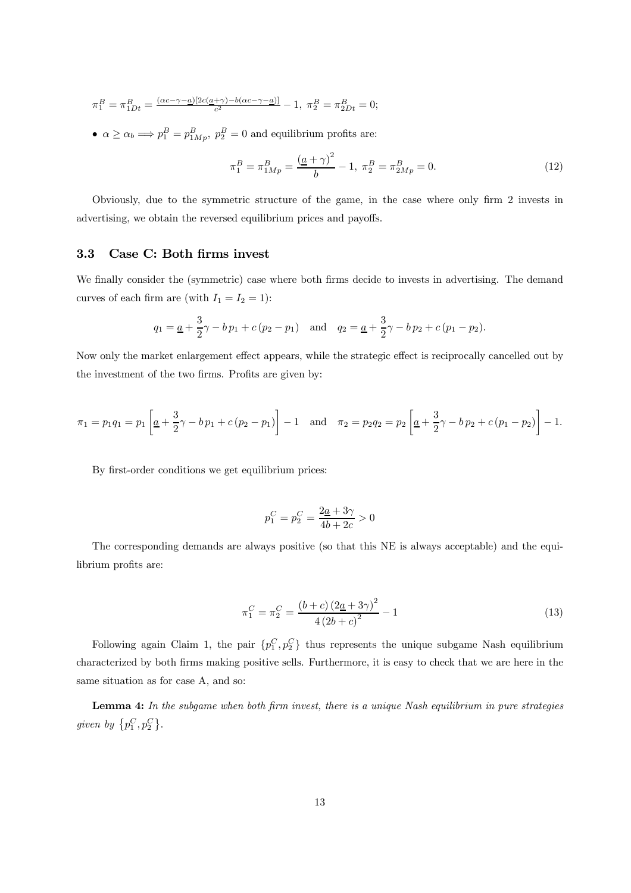$$
\pi_1^B = \pi_{1Dt}^B = \frac{(\alpha c - \gamma - \underline{a})[2c(\underline{a} + \gamma) - b(\alpha c - \gamma - \underline{a})]}{c^2} - 1, \ \pi_2^B = \pi_{2Dt}^B = 0;
$$

•  $\alpha \ge \alpha_b \Longrightarrow p_1^B = p_{1Mp}^B$ ,  $p_2^B = 0$  and equilibrium profits are:

$$
\pi_1^B = \pi_{1Mp}^B = \frac{(a+\gamma)^2}{b} - 1, \ \pi_2^B = \pi_{2Mp}^B = 0. \tag{12}
$$

Obviously, due to the symmetric structure of the game, in the case where only firm 2 invests in advertising, we obtain the reversed equilibrium prices and payoffs.

## 3.3 Case C: Both firms invest

We finally consider the (symmetric) case where both firms decide to invests in advertising. The demand curves of each firm are (with  $I_1 = I_2 = 1$ ):

$$
q_1 = \underline{a} + \frac{3}{2}\gamma - bp_1 + c(p_2 - p_1)
$$
 and  $q_2 = \underline{a} + \frac{3}{2}\gamma - bp_2 + c(p_1 - p_2)$ .

Now only the market enlargement effect appears, while the strategic effect is reciprocally cancelled out by the investment of the two firms. Profits are given by:

$$
\pi_1 = p_1 q_1 = p_1 \left[ \underline{a} + \frac{3}{2} \gamma - b \, p_1 + c \, (p_2 - p_1) \right] - 1 \quad \text{and} \quad \pi_2 = p_2 q_2 = p_2 \left[ \underline{a} + \frac{3}{2} \gamma - b \, p_2 + c \, (p_1 - p_2) \right] - 1.
$$

By first-order conditions we get equilibrium prices:

$$
p_1^C = p_2^C = \frac{2\underline{a} + 3\gamma}{4b + 2c} > 0
$$

The corresponding demands are always positive (so that this NE is always acceptable) and the equilibrium profits are:

$$
\pi_1^C = \pi_2^C = \frac{(b+c)(2a+3\gamma)^2}{4(2b+c)^2} - 1\tag{13}
$$

Following again Claim 1, the pair  $\{p_1^C, p_2^C\}$  thus represents the unique subgame Nash equilibrium characterized by both firms making positive sells. Furthermore, it is easy to check that we are here in the same situation as for case A, and so:

Lemma 4: In the subgame when both firm invest, there is a unique Nash equilibrium in pure strategies given by  $\{p_1^C, p_2^C\}$ .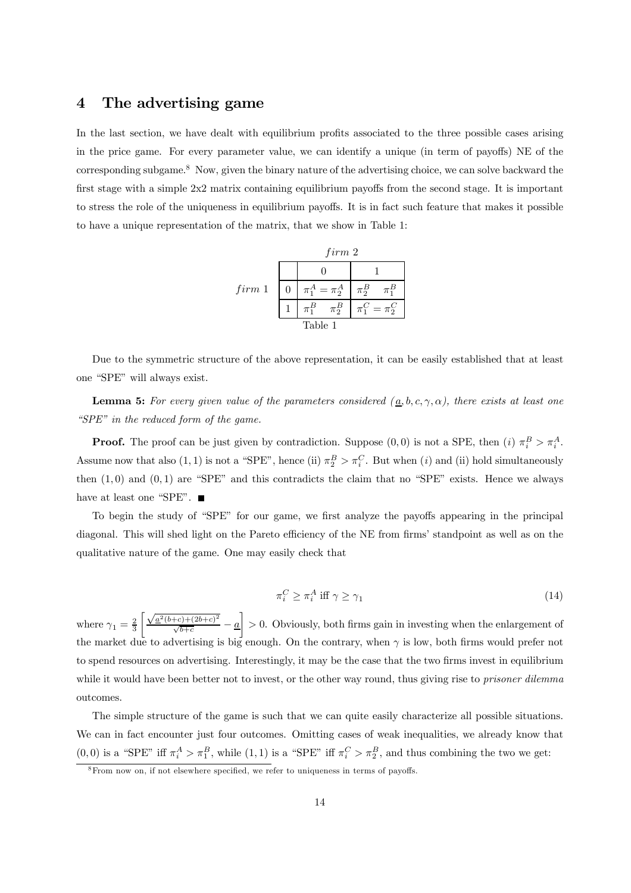# 4 The advertising game

In the last section, we have dealt with equilibrium profits associated to the three possible cases arising in the price game. For every parameter value, we can identify a unique (in term of payoffs) NE of the corresponding subgame.<sup>8</sup> Now, given the binary nature of the advertising choice, we can solve backward the first stage with a simple 2x2 matrix containing equilibrium payoffs from the second stage. It is important to stress the role of the uniqueness in equilibrium payoffs. It is in fact such feature that makes it possible to have a unique representation of the matrix, that we show in Table 1:

|        | firm 2 |                        |                     |
|--------|--------|------------------------|---------------------|
|        |        |                        |                     |
| firm 1 |        | $\pi_1^A = \pi_2^A$    | $\pi_2^B$           |
|        |        | $\pi_2^B$<br>$\pi_1^B$ | $\pi_1^C = \pi_2^C$ |
|        |        | Table 1                |                     |

Due to the symmetric structure of the above representation, it can be easily established that at least one "SPE" will always exist.

**Lemma 5:** For every given value of the parameters considered  $(\underline{a}, b, c, \gamma, \alpha)$ , there exists at least one "SPE" in the reduced form of the game.

**Proof.** The proof can be just given by contradiction. Suppose  $(0,0)$  is not a SPE, then  $(i) \pi_i^B > \pi_i^A$ . Assume now that also  $(1, 1)$  is not a "SPE", hence (ii)  $\pi_2^B > \pi_i^C$ . But when  $(i)$  and (ii) hold simultaneously then  $(1,0)$  and  $(0,1)$  are "SPE" and this contradicts the claim that no "SPE" exists. Hence we always have at least one "SPE".

To begin the study of "SPE" for our game, we first analyze the payoffs appearing in the principal diagonal. This will shed light on the Pareto efficiency of the NE from firms' standpoint as well as on the qualitative nature of the game. One may easily check that

$$
\pi_i^C \ge \pi_i^A \text{ iff } \gamma \ge \gamma_1 \tag{14}
$$

where  $\gamma_1 = \frac{2}{3}$  $\int \sqrt{\underline{a}^2(b+c)+(2b+c)^2}$  $\frac{+c)+(2b+c)}{\sqrt{b+c}}-\underline{a}$ ¸ > 0. Obviously, both firms gain in investing when the enlargement of the market due to advertising is big enough. On the contrary, when  $\gamma$  is low, both firms would prefer not to spend resources on advertising. Interestingly, it may be the case that the two firms invest in equilibrium while it would have been better not to invest, or the other way round, thus giving rise to *prisoner dilemma* outcomes.

The simple structure of the game is such that we can quite easily characterize all possible situations. We can in fact encounter just four outcomes. Omitting cases of weak inequalities, we already know that  $(0,0)$  is a "SPE" iff  $\pi_i^A > \pi_1^B$ , while  $(1,1)$  is a "SPE" iff  $\pi_i^C > \pi_2^B$ , and thus combining the two we get:

<sup>&</sup>lt;sup>8</sup>From now on, if not elsewhere specified, we refer to uniqueness in terms of payoffs.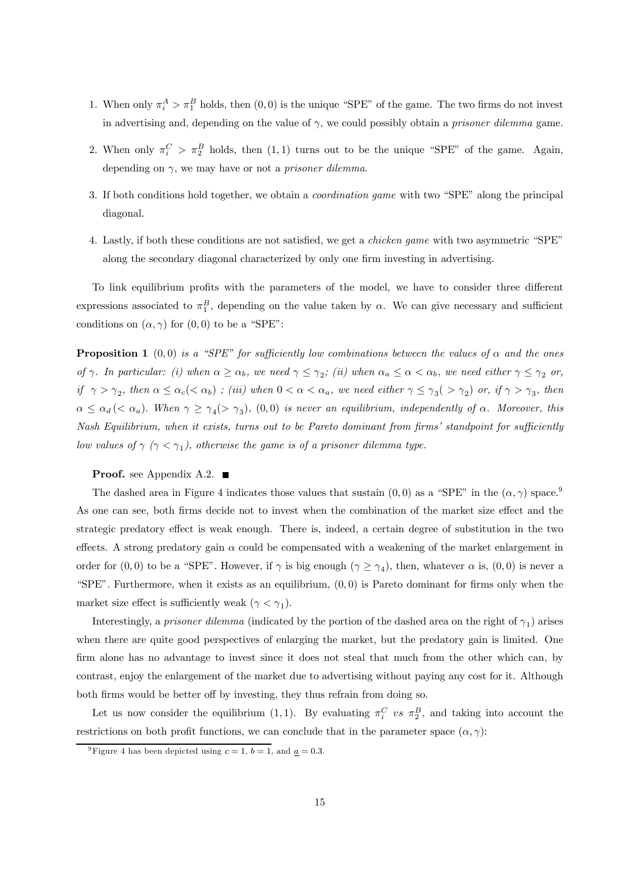- 1. When only  $\pi_i^A > \pi_1^B$  holds, then  $(0, 0)$  is the unique "SPE" of the game. The two firms do not invest in advertising and, depending on the value of  $\gamma$ , we could possibly obtain a *prisoner dilemma* game.
- 2. When only  $\pi_i^C > \pi_2^B$  holds, then  $(1,1)$  turns out to be the unique "SPE" of the game. Again, depending on  $\gamma$ , we may have or not a *prisoner dilemma*.
- 3. If both conditions hold together, we obtain a coordination game with two "SPE" along the principal diagonal.
- 4. Lastly, if both these conditions are not satisfied, we get a chicken game with two asymmetric "SPE" along the secondary diagonal characterized by only one firm investing in advertising.

To link equilibrium profits with the parameters of the model, we have to consider three different expressions associated to  $\pi_1^B$ , depending on the value taken by  $\alpha$ . We can give necessary and sufficient conditions on  $(\alpha, \gamma)$  for  $(0, 0)$  to be a "SPE":

**Proposition 1** (0,0) is a "SPE" for sufficiently low combinations between the values of  $\alpha$  and the ones of  $\gamma$ . In particular: (i) when  $\alpha \ge \alpha_b$ , we need  $\gamma \le \gamma_2$ ; (ii) when  $\alpha_a \le \alpha < \alpha_b$ , we need either  $\gamma \le \gamma_2$  or, if  $\gamma > \gamma_2$ , then  $\alpha \leq \alpha_c (< \alpha_b)$ ; (iii) when  $0 < \alpha < \alpha_a$ , we need either  $\gamma \leq \gamma_3$   $(>\gamma_2)$  or, if  $\gamma > \gamma_3$ , then  $\alpha \leq \alpha_d \, (< \alpha_a)$ . When  $\gamma \geq \gamma_4 \, > \gamma_3$ , (0,0) is never an equilibrium, independently of  $\alpha$ . Moreover, this Nash Equilibrium, when it exists, turns out to be Pareto dominant from firms' standpoint for sufficiently low values of  $\gamma$  ( $\gamma < \gamma_1$ ), otherwise the game is of a prisoner dilemma type.

#### **Proof.** see Appendix A.2.  $\blacksquare$

The dashed area in Figure 4 indicates those values that sustain  $(0,0)$  as a "SPE" in the  $(\alpha, \gamma)$  space.<sup>9</sup> As one can see, both firms decide not to invest when the combination of the market size effect and the strategic predatory effect is weak enough. There is, indeed, a certain degree of substitution in the two effects. A strong predatory gain  $\alpha$  could be compensated with a weakening of the market enlargement in order for  $(0,0)$  to be a "SPE". However, if  $\gamma$  is big enough  $(\gamma \ge \gamma_4)$ , then, whatever  $\alpha$  is,  $(0,0)$  is never a "SPE". Furthermore, when it exists as an equilibrium,  $(0,0)$  is Pareto dominant for firms only when the market size effect is sufficiently weak  $(\gamma < \gamma_1)$ .

Interestingly, a prisoner dilemma (indicated by the portion of the dashed area on the right of  $\gamma_1$ ) arises when there are quite good perspectives of enlarging the market, but the predatory gain is limited. One firm alone has no advantage to invest since it does not steal that much from the other which can, by contrast, enjoy the enlargement of the market due to advertising without paying any cost for it. Although both firms would be better off by investing, they thus refrain from doing so.

Let us now consider the equilibrium (1, 1). By evaluating  $\pi_i^C$  vs  $\pi_2^B$ , and taking into account the restrictions on both profit functions, we can conclude that in the parameter space  $(\alpha, \gamma)$ :

<sup>&</sup>lt;sup>9</sup>Figure 4 has been depicted using  $c = 1$ ,  $b = 1$ , and  $\underline{a} = 0.3$ .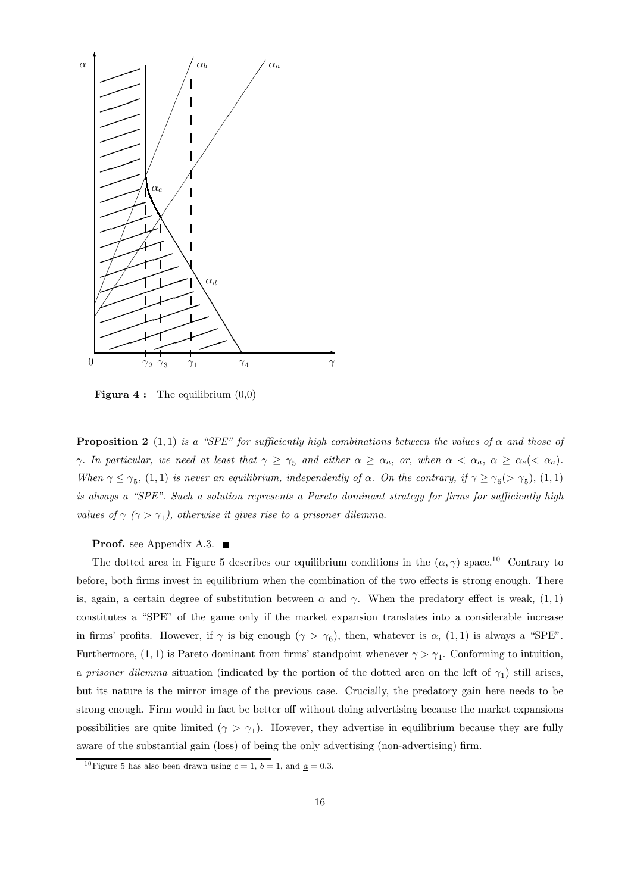

**Figura 4 :** The equilibrium  $(0,0)$ 

**Proposition 2** (1, 1) is a "SPE" for sufficiently high combinations between the values of  $\alpha$  and those of γ. In particular, we need at least that  $\gamma \geq \gamma_5$  and either  $\alpha \geq \alpha_a$ , or, when  $\alpha < \alpha_a$ ,  $\alpha \geq \alpha_e (< \alpha_a)$ . When  $\gamma \leq \gamma_5$ , (1, 1) is never an equilibrium, independently of  $\alpha$ . On the contrary, if  $\gamma \geq \gamma_6$  ( $> \gamma_5$ ), (1, 1) is always a "SPE". Such a solution represents a Pareto dominant strategy for firms for sufficiently high values of  $\gamma$  ( $\gamma > \gamma_1$ ), otherwise it gives rise to a prisoner dilemma.

**Proof.** see Appendix A.3.  $\blacksquare$ 

The dotted area in Figure 5 describes our equilibrium conditions in the  $(\alpha, \gamma)$  space.<sup>10</sup> Contrary to before, both firms invest in equilibrium when the combination of the two effects is strong enough. There is, again, a certain degree of substitution between  $\alpha$  and  $\gamma$ . When the predatory effect is weak, (1, 1) constitutes a "SPE" of the game only if the market expansion translates into a considerable increase in firms' profits. However, if  $\gamma$  is big enough  $(\gamma > \gamma_6)$ , then, whatever is  $\alpha$ ,  $(1,1)$  is always a "SPE". Furthermore,  $(1, 1)$  is Pareto dominant from firms' standpoint whenever  $\gamma > \gamma_1$ . Conforming to intuition, a prisoner dilemma situation (indicated by the portion of the dotted area on the left of  $\gamma_1$ ) still arises, but its nature is the mirror image of the previous case. Crucially, the predatory gain here needs to be strong enough. Firm would in fact be better off without doing advertising because the market expansions possibilities are quite limited ( $\gamma > \gamma_1$ ). However, they advertise in equilibrium because they are fully aware of the substantial gain (loss) of being the only advertising (non-advertising) firm.

<sup>&</sup>lt;sup>10</sup> Figure 5 has also been drawn using  $c = 1$ ,  $b = 1$ , and <u> $a = 0.3$ </u>.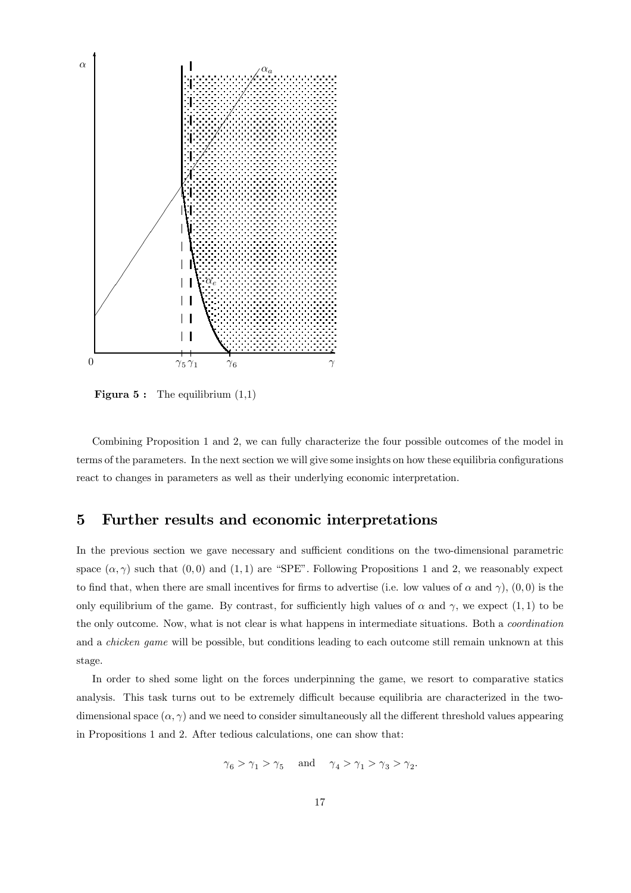

**Figura 5:** The equilibrium  $(1,1)$ 

Combining Proposition 1 and 2, we can fully characterize the four possible outcomes of the model in terms of the parameters. In the next section we will give some insights on how these equilibria configurations react to changes in parameters as well as their underlying economic interpretation.

# 5 Further results and economic interpretations

In the previous section we gave necessary and sufficient conditions on the two-dimensional parametric space  $(\alpha, \gamma)$  such that  $(0, 0)$  and  $(1, 1)$  are "SPE". Following Propositions 1 and 2, we reasonably expect to find that, when there are small incentives for firms to advertise (i.e. low values of  $\alpha$  and  $\gamma$ ), (0, 0) is the only equilibrium of the game. By contrast, for sufficiently high values of  $\alpha$  and  $\gamma$ , we expect (1, 1) to be the only outcome. Now, what is not clear is what happens in intermediate situations. Both a coordination and a chicken game will be possible, but conditions leading to each outcome still remain unknown at this stage.

In order to shed some light on the forces underpinning the game, we resort to comparative statics analysis. This task turns out to be extremely difficult because equilibria are characterized in the twodimensional space  $(\alpha, \gamma)$  and we need to consider simultaneously all the different threshold values appearing in Propositions 1 and 2. After tedious calculations, one can show that:

$$
\gamma_6>\gamma_1>\gamma_5\quad\text{ and }\quad\gamma_4>\gamma_1>\gamma_3>\gamma_2.
$$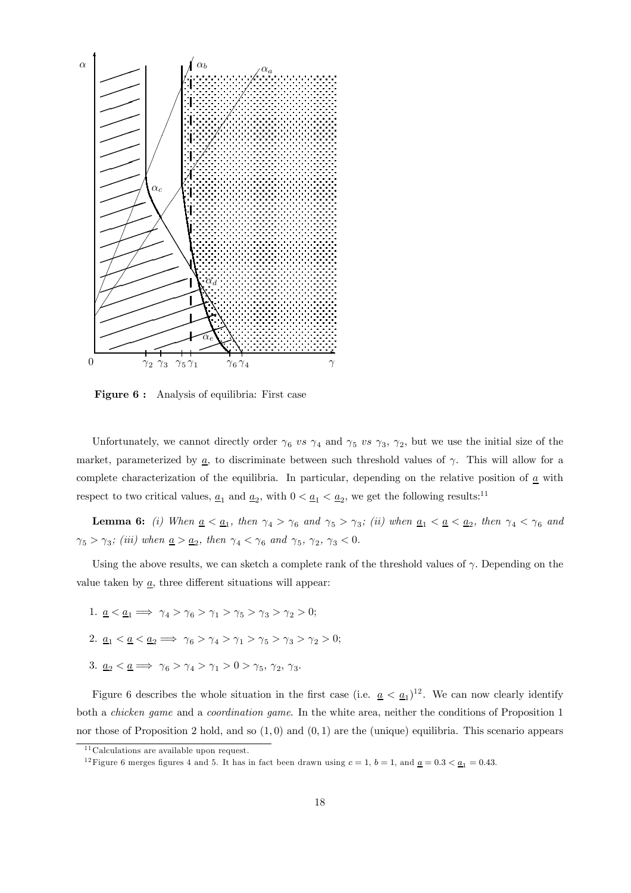

Figure 6 : Analysis of equilibria: First case

Unfortunately, we cannot directly order  $\gamma_6$  vs  $\gamma_4$  and  $\gamma_5$  vs  $\gamma_3$ ,  $\gamma_2$ , but we use the initial size of the market, parameterized by  $\underline{a}$ , to discriminate between such threshold values of  $\gamma$ . This will allow for a complete characterization of the equilibria. In particular, depending on the relative position of  $\underline{a}$  with respect to two critical values,  $\underline{a}_1$  and  $\underline{a}_2$ , with  $0 < \underline{a}_1 < \underline{a}_2$ , we get the following results:<sup>11</sup>

**Lemma 6:** (i) When  $\underline{a} < \underline{a}_1$ , then  $\gamma_4 > \gamma_6$  and  $\gamma_5 > \gamma_3$ ; (ii) when  $\underline{a}_1 < \underline{a} < \underline{a}_2$ , then  $\gamma_4 < \gamma_6$  and  $\gamma_5 > \gamma_3;$   $(iii)$  when  $\underline{a} > \underline{a_2},$  then  $\gamma_4 < \gamma_6$  and  $\gamma_5,$   $\gamma_2,$   $\gamma_3 < 0.$ 

Using the above results, we can sketch a complete rank of the threshold values of  $\gamma$ . Depending on the value taken by  $\underline{a}$ , three different situations will appear:

1.  $\underline{a} < \underline{a_1} \Longrightarrow \gamma_4 > \gamma_6 > \gamma_1 > \gamma_5 > \gamma_3 > \gamma_2 > 0;$ 2.  $\underline{a}_1 < \underline{a} < \underline{a}_2 \Longrightarrow \gamma_6 > \gamma_4 > \gamma_1 > \gamma_5 > \gamma_3 > \gamma_2 > 0;$ 3.  $\underline{a}_2 < \underline{a} \implies \gamma_6 > \gamma_4 > \gamma_1 > 0 > \gamma_5, \gamma_2, \gamma_3.$ 

Figure 6 describes the whole situation in the first case (i.e.  $\underline{a} < \underline{a}_1$ )<sup>12</sup>. We can now clearly identify both a chicken game and a coordination game. In the white area, neither the conditions of Proposition 1 nor those of Proposition 2 hold, and so  $(1,0)$  and  $(0,1)$  are the (unique) equilibria. This scenario appears

 $11$  Calculations are available upon request.

<sup>&</sup>lt;sup>12</sup> Figure 6 merges figures 4 and 5. It has in fact been drawn using  $c = 1$ ,  $b = 1$ , and  $a = 0.3 < a<sub>1</sub> = 0.43$ .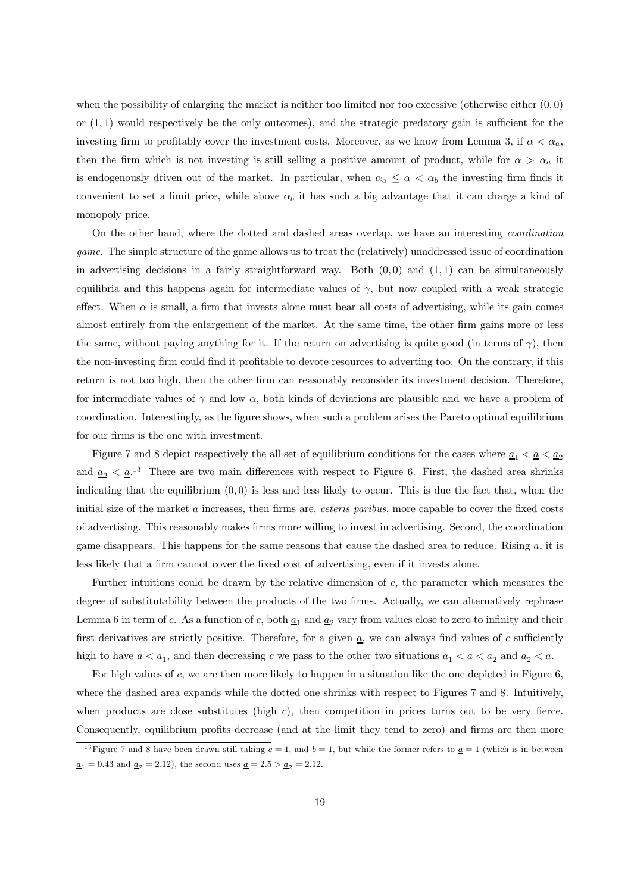when the possibility of enlarging the market is neither too limited nor too excessive (otherwise either  $(0,0)$ ) or  $(1, 1)$  would respectively be the only outcomes), and the strategic predatory gain is sufficient for the investing firm to profitably cover the investment costs. Moreover, as we know from Lemma 3, if  $\alpha < \alpha_a$ , then the firm which is not investing is still selling a positive amount of product, while for  $\alpha > \alpha_a$  it is endogenously driven out of the market. In particular, when  $\alpha_a \leq \alpha < \alpha_b$  the investing firm finds it convenient to set a limit price, while above  $\alpha_b$  it has such a big advantage that it can charge a kind of monopoly price.

On the other hand, where the dotted and dashed areas overlap, we have an interesting coordination game. The simple structure of the game allows us to treat the (relatively) unaddressed issue of coordination in advertising decisions in a fairly straightforward way. Both  $(0, 0)$  and  $(1, 1)$  can be simultaneously equilibria and this happens again for intermediate values of  $\gamma$ , but now coupled with a weak strategic effect. When  $\alpha$  is small, a firm that invests alone must bear all costs of advertising, while its gain comes almost entirely from the enlargement of the market. At the same time, the other firm gains more or less the same, without paying anything for it. If the return on advertising is quite good (in terms of  $\gamma$ ), then the non-investing firm could find it profitable to devote resources to adverting too. On the contrary, if this return is not too high, then the other firm can reasonably reconsider its investment decision. Therefore, for intermediate values of  $\gamma$  and low  $\alpha$ , both kinds of deviations are plausible and we have a problem of coordination. Interestingly, as the figure shows, when such a problem arises the Pareto optimal equilibrium for our firms is the one with investment.

Figure 7 and 8 depict respectively the all set of equilibrium conditions for the cases where  $\underline{a}_1 < \underline{a} < \underline{a}_2$ and  $\underline{a}_2 < \underline{a}$ <sup>13</sup>. There are two main differences with respect to Figure 6. First, the dashed area shrinks indicating that the equilibrium  $(0, 0)$  is less and less likely to occur. This is due the fact that, when the initial size of the market a increases, then firms are, ceteris paribus, more capable to cover the fixed costs of advertising. This reasonably makes firms more willing to invest in advertising. Second, the coordination game disappears. This happens for the same reasons that cause the dashed area to reduce. Rising  $\underline{a}$ , it is less likely that a firm cannot cover the fixed cost of advertising, even if it invests alone.

Further intuitions could be drawn by the relative dimension of  $c$ , the parameter which measures the degree of substitutability between the products of the two firms. Actually, we can alternatively rephrase Lemma 6 in term of c. As a function of c, both  $\underline{a}_1$  and  $\underline{a}_2$  vary from values close to zero to infinity and their first derivatives are strictly positive. Therefore, for a given  $\underline{a}$ , we can always find values of c sufficiently high to have  $\underline{a} < \underline{a}_1$ , and then decreasing c we pass to the other two situations  $\underline{a}_1 < \underline{a} < \underline{a}_2$  and  $\underline{a}_2 < \underline{a}$ .

For high values of c, we are then more likely to happen in a situation like the one depicted in Figure 6, where the dashed area expands while the dotted one shrinks with respect to Figures 7 and 8. Intuitively, when products are close substitutes (high  $c$ ), then competition in prices turns out to be very fierce. Consequently, equilibrium profits decrease (and at the limit they tend to zero) and firms are then more

<sup>&</sup>lt;sup>13</sup>Figure 7 and 8 have been drawn still taking  $c = 1$ , and  $b = 1$ , but while the former refers to  $\underline{a} = 1$  (which is in between  $\underline{a}_1 = 0.43$  and  $\underline{a}_2 = 2.12$ , the second uses  $\underline{a} = 2.5 > \underline{a}_2 = 2.12$ .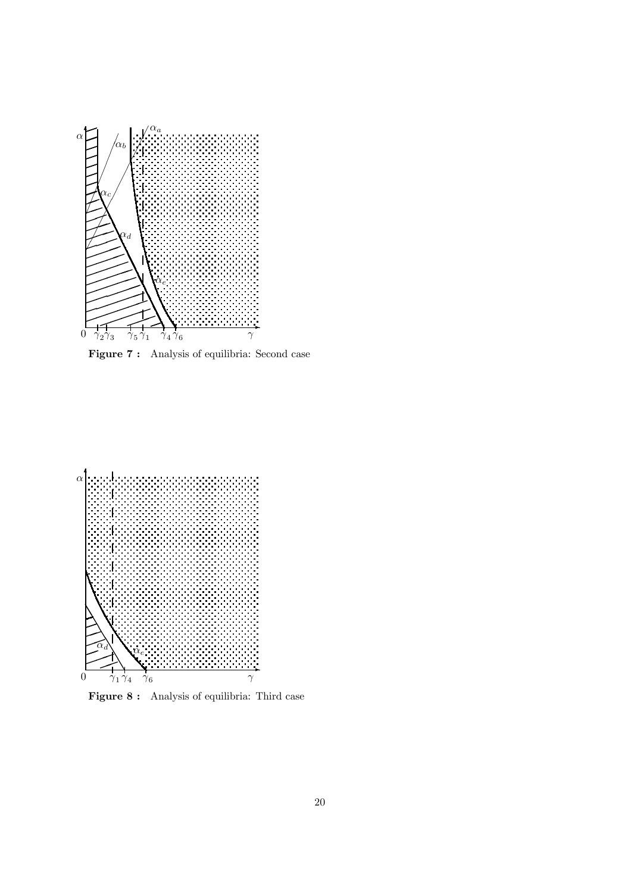

Figure 7 : Analysis of equilibria: Second case



Figure 8 : Analysis of equilibria: Third case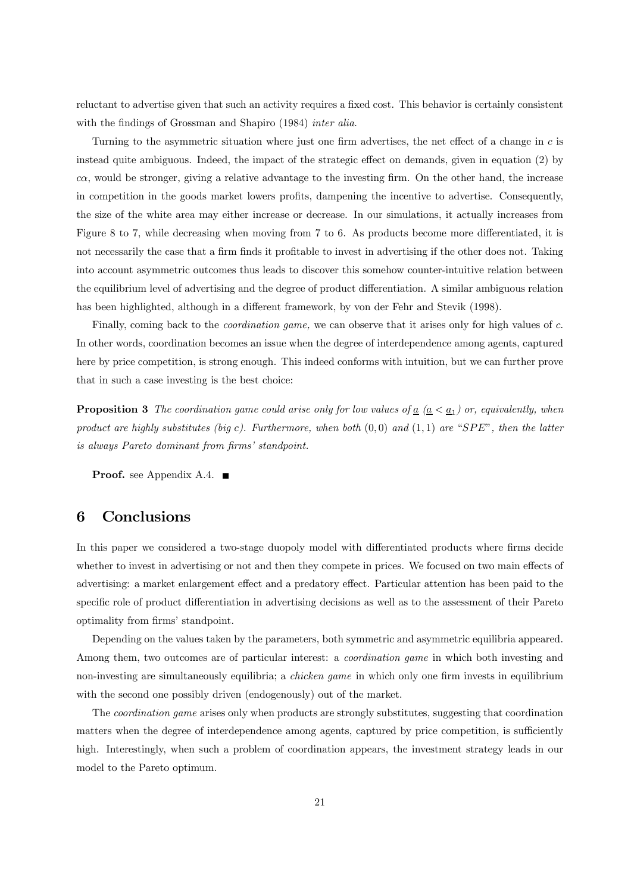reluctant to advertise given that such an activity requires a fixed cost. This behavior is certainly consistent with the findings of Grossman and Shapiro (1984) *inter alia*.

Turning to the asymmetric situation where just one firm advertises, the net effect of a change in c is instead quite ambiguous. Indeed, the impact of the strategic effect on demands, given in equation (2) by  $ca$ , would be stronger, giving a relative advantage to the investing firm. On the other hand, the increase in competition in the goods market lowers profits, dampening the incentive to advertise. Consequently, the size of the white area may either increase or decrease. In our simulations, it actually increases from Figure 8 to 7, while decreasing when moving from 7 to 6. As products become more differentiated, it is not necessarily the case that a firm finds it profitable to invest in advertising if the other does not. Taking into account asymmetric outcomes thus leads to discover this somehow counter-intuitive relation between the equilibrium level of advertising and the degree of product differentiation. A similar ambiguous relation has been highlighted, although in a different framework, by von der Fehr and Stevik (1998).

Finally, coming back to the *coordination game*, we can observe that it arises only for high values of c. In other words, coordination becomes an issue when the degree of interdependence among agents, captured here by price competition, is strong enough. This indeed conforms with intuition, but we can further prove that in such a case investing is the best choice:

**Proposition 3** The coordination game could arise only for low values of  $\underline{a}$  ( $\underline{a} < \underline{a_1}$ ) or, equivalently, when product are highly substitutes (big c). Furthermore, when both  $(0, 0)$  and  $(1, 1)$  are "SPE", then the latter is always Pareto dominant from firms' standpoint.

**Proof.** see Appendix A.4.  $\blacksquare$ 

# 6 Conclusions

In this paper we considered a two-stage duopoly model with differentiated products where firms decide whether to invest in advertising or not and then they compete in prices. We focused on two main effects of advertising: a market enlargement effect and a predatory effect. Particular attention has been paid to the specific role of product differentiation in advertising decisions as well as to the assessment of their Pareto optimality from firms' standpoint.

Depending on the values taken by the parameters, both symmetric and asymmetric equilibria appeared. Among them, two outcomes are of particular interest: a coordination game in which both investing and non-investing are simultaneously equilibria; a chicken game in which only one firm invests in equilibrium with the second one possibly driven (endogenously) out of the market.

The coordination game arises only when products are strongly substitutes, suggesting that coordination matters when the degree of interdependence among agents, captured by price competition, is sufficiently high. Interestingly, when such a problem of coordination appears, the investment strategy leads in our model to the Pareto optimum.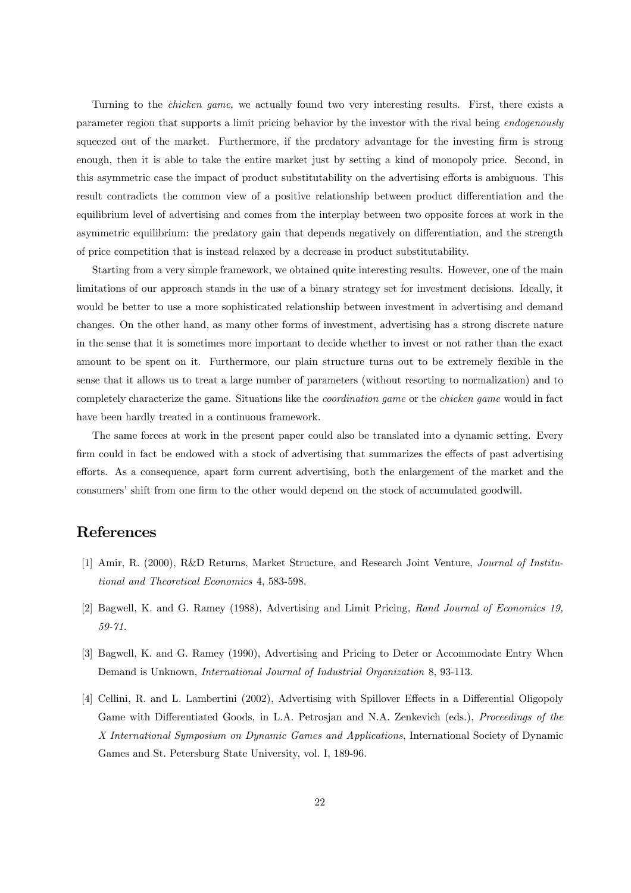Turning to the *chicken game*, we actually found two very interesting results. First, there exists a parameter region that supports a limit pricing behavior by the investor with the rival being endogenously squeezed out of the market. Furthermore, if the predatory advantage for the investing firm is strong enough, then it is able to take the entire market just by setting a kind of monopoly price. Second, in this asymmetric case the impact of product substitutability on the advertising efforts is ambiguous. This result contradicts the common view of a positive relationship between product differentiation and the equilibrium level of advertising and comes from the interplay between two opposite forces at work in the asymmetric equilibrium: the predatory gain that depends negatively on differentiation, and the strength of price competition that is instead relaxed by a decrease in product substitutability.

Starting from a very simple framework, we obtained quite interesting results. However, one of the main limitations of our approach stands in the use of a binary strategy set for investment decisions. Ideally, it would be better to use a more sophisticated relationship between investment in advertising and demand changes. On the other hand, as many other forms of investment, advertising has a strong discrete nature in the sense that it is sometimes more important to decide whether to invest or not rather than the exact amount to be spent on it. Furthermore, our plain structure turns out to be extremely flexible in the sense that it allows us to treat a large number of parameters (without resorting to normalization) and to completely characterize the game. Situations like the coordination game or the chicken game would in fact have been hardly treated in a continuous framework.

The same forces at work in the present paper could also be translated into a dynamic setting. Every firm could in fact be endowed with a stock of advertising that summarizes the effects of past advertising efforts. As a consequence, apart form current advertising, both the enlargement of the market and the consumers' shift from one firm to the other would depend on the stock of accumulated goodwill.

# References

- [1] Amir, R. (2000), R&D Returns, Market Structure, and Research Joint Venture, Journal of Institutional and Theoretical Economics 4, 583-598.
- [2] Bagwell, K. and G. Ramey (1988), Advertising and Limit Pricing, Rand Journal of Economics 19, 59-71.
- [3] Bagwell, K. and G. Ramey (1990), Advertising and Pricing to Deter or Accommodate Entry When Demand is Unknown, International Journal of Industrial Organization 8, 93-113.
- [4] Cellini, R. and L. Lambertini (2002), Advertising with Spillover Effects in a Differential Oligopoly Game with Differentiated Goods, in L.A. Petrosjan and N.A. Zenkevich (eds.), Proceedings of the X International Symposium on Dynamic Games and Applications, International Society of Dynamic Games and St. Petersburg State University, vol. I, 189-96.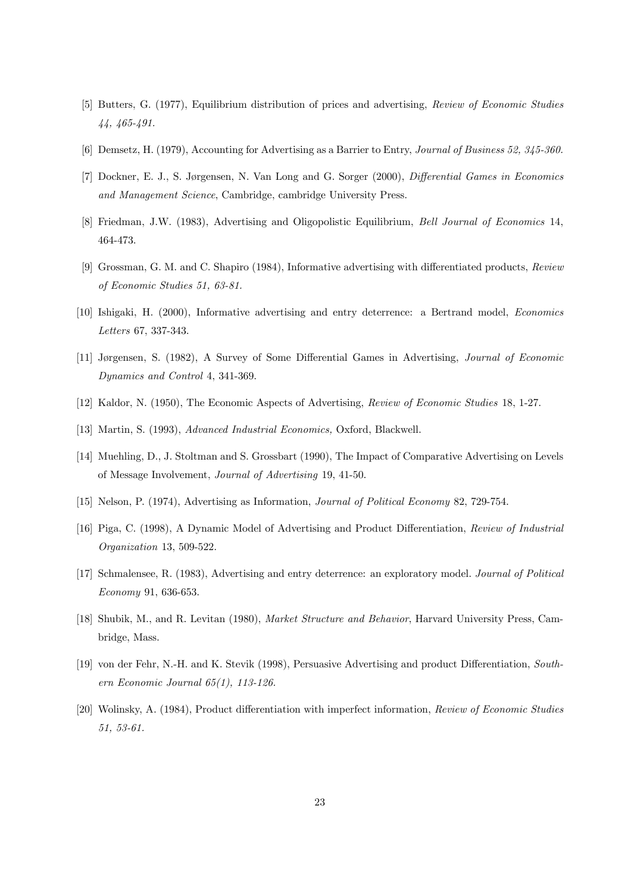- [5] Butters, G. (1977), Equilibrium distribution of prices and advertising, Review of Economic Studies 44, 465-491.
- [6] Demsetz, H. (1979), Accounting for Advertising as a Barrier to Entry, Journal of Business 52, 345-360.
- [7] Dockner, E. J., S. Jørgensen, N. Van Long and G. Sorger (2000), Differential Games in Economics and Management Science, Cambridge, cambridge University Press.
- [8] Friedman, J.W. (1983), Advertising and Oligopolistic Equilibrium, Bell Journal of Economics 14, 464-473.
- [9] Grossman, G. M. and C. Shapiro (1984), Informative advertising with differentiated products, Review of Economic Studies 51, 63-81.
- [10] Ishigaki, H. (2000), Informative advertising and entry deterrence: a Bertrand model, Economics Letters 67, 337-343.
- [11] Jørgensen, S. (1982), A Survey of Some Differential Games in Advertising, Journal of Economic Dynamics and Control 4, 341-369.
- [12] Kaldor, N. (1950), The Economic Aspects of Advertising, Review of Economic Studies 18, 1-27.
- [13] Martin, S. (1993), Advanced Industrial Economics, Oxford, Blackwell.
- [14] Muehling, D., J. Stoltman and S. Grossbart (1990), The Impact of Comparative Advertising on Levels of Message Involvement, Journal of Advertising 19, 41-50.
- [15] Nelson, P. (1974), Advertising as Information, Journal of Political Economy 82, 729-754.
- [16] Piga, C. (1998), A Dynamic Model of Advertising and Product Differentiation, Review of Industrial Organization 13, 509-522.
- [17] Schmalensee, R. (1983), Advertising and entry deterrence: an exploratory model. Journal of Political Economy 91, 636-653.
- [18] Shubik, M., and R. Levitan (1980), Market Structure and Behavior, Harvard University Press, Cambridge, Mass.
- [19] von der Fehr, N.-H. and K. Stevik (1998), Persuasive Advertising and product Differentiation, Southern Economic Journal 65(1), 113-126.
- [20] Wolinsky, A. (1984), Product differentiation with imperfect information, Review of Economic Studies 51, 53-61.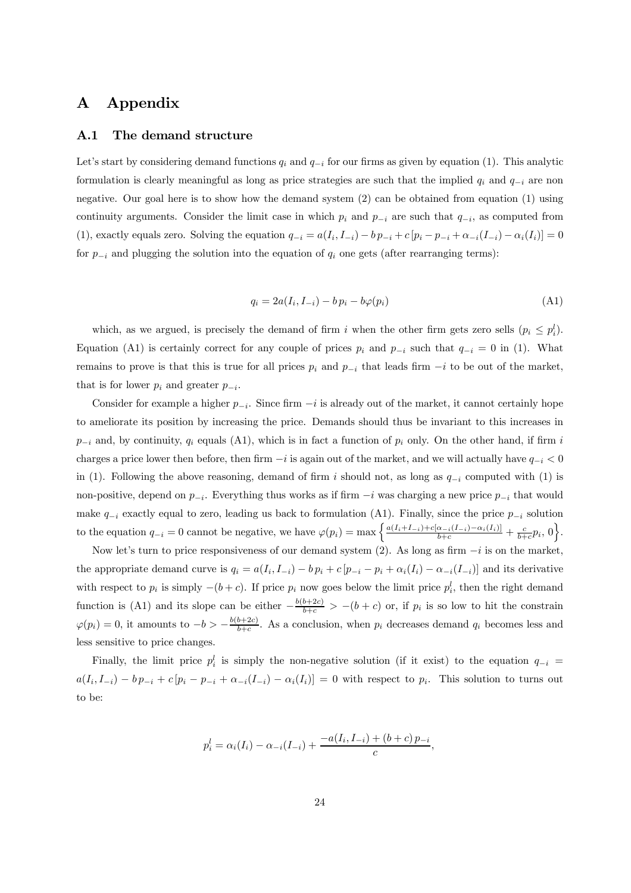# A Appendix

### A.1 The demand structure

Let's start by considering demand functions  $q_i$  and  $q_{-i}$  for our firms as given by equation (1). This analytic formulation is clearly meaningful as long as price strategies are such that the implied  $q_i$  and  $q_{-i}$  are non negative. Our goal here is to show how the demand system (2) can be obtained from equation (1) using continuity arguments. Consider the limit case in which  $p_i$  and  $p_{-i}$  are such that  $q_{-i}$ , as computed from (1), exactly equals zero. Solving the equation  $q_{-i} = a(I_i, I_{-i}) - b p_{-i} + c [p_i - p_{-i} + \alpha_{-i}(I_{-i}) - \alpha_i(I_i)] = 0$ for  $p_{-i}$  and plugging the solution into the equation of  $q_i$  one gets (after rearranging terms):

$$
q_i = 2a(I_i, I_{-i}) - bp_i - b\varphi(p_i)
$$
\n(A1)

which, as we argued, is precisely the demand of firm i when the other firm gets zero sells  $(p_i \leq p_i^l)$ . Equation (A1) is certainly correct for any couple of prices  $p_i$  and  $p_{-i}$  such that  $q_{-i} = 0$  in (1). What remains to prove is that this is true for all prices  $p_i$  and  $p_{-i}$  that leads firm  $-i$  to be out of the market, that is for lower  $p_i$  and greater  $p_{-i}$ .

Consider for example a higher  $p_{-i}$ . Since firm  $-i$  is already out of the market, it cannot certainly hope to ameliorate its position by increasing the price. Demands should thus be invariant to this increases in  $p_{-i}$  and, by continuity,  $q_i$  equals (A1), which is in fact a function of  $p_i$  only. On the other hand, if firm i charges a price lower then before, then firm  $-i$  is again out of the market, and we will actually have  $q_{-i} < 0$ in (1). Following the above reasoning, demand of firm i should not, as long as  $q_{-i}$  computed with (1) is non-positive, depend on  $p_{-i}$ . Everything thus works as if firm  $-i$  was charging a new price  $p_{-i}$  that would make  $q_{-i}$  exactly equal to zero, leading us back to formulation (A1). Finally, since the price  $p_{-i}$  solution to the equation  $q_{-i} = 0$  cannot be negative, we have  $\varphi(p_i) = \max\left\{\frac{a(I_i+I_{-i})+c[a_{-i}(I_{-i})-a_i(I_i)]}{b+c} + \frac{c}{b+c}p_i, 0\right\}$ .

Now let's turn to price responsiveness of our demand system (2). As long as firm  $-i$  is on the market, the appropriate demand curve is  $q_i = a(I_i, I_{-i}) - b p_i + c [p_{-i} - p_i + \alpha_i(I_i) - \alpha_{-i}(I_{-i})]$  and its derivative with respect to  $p_i$  is simply  $-(b+c)$ . If price  $p_i$  now goes below the limit price  $p_i^l$ , then the right demand function is (A1) and its slope can be either  $-\frac{b(b+2c)}{b+c} > -(b+c)$  or, if  $p_i$  is so low to hit the constrain  $\varphi(p_i)=0$ , it amounts to  $-b > -\frac{b(b+2c)}{b+c}$ . As a conclusion, when  $p_i$  decreases demand  $q_i$  becomes less and less sensitive to price changes.

Finally, the limit price  $p_i^l$  is simply the non-negative solution (if it exist) to the equation  $q_{-i}$  =  $a(I_i, I_{-i}) - bp_{-i} + c[p_i - p_{-i} + \alpha_{-i}(I_{-i}) - \alpha_i(I_i)] = 0$  with respect to  $p_i$ . This solution to turns out to be:

$$
p_i^l = \alpha_i(I_i) - \alpha_{-i}(I_{-i}) + \frac{-a(I_i, I_{-i}) + (b + c)p_{-i}}{c},
$$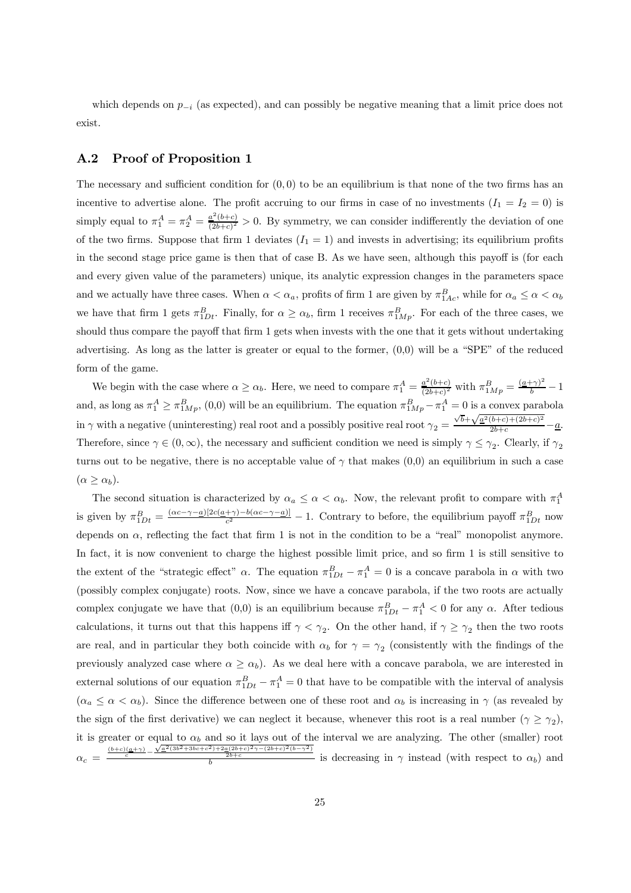which depends on  $p_{-i}$  (as expected), and can possibly be negative meaning that a limit price does not exist.

## A.2 Proof of Proposition 1

The necessary and sufficient condition for  $(0, 0)$  to be an equilibrium is that none of the two firms has an incentive to advertise alone. The profit accruing to our firms in case of no investments  $(I_1 = I_2 = 0)$  is simply equal to  $\pi_1^A = \pi_2^A = \frac{a^2(b+c)}{(2b+c)^2} > 0$ . By symmetry, we can consider indifferently the deviation of one of the two firms. Suppose that firm 1 deviates  $(I_1 = 1)$  and invests in advertising; its equilibrium profits in the second stage price game is then that of case B. As we have seen, although this payoff is (for each and every given value of the parameters) unique, its analytic expression changes in the parameters space and we actually have three cases. When  $\alpha < \alpha_a$ , profits of firm 1 are given by  $\pi_{1Ac}^B$ , while for  $\alpha_a \le \alpha < \alpha_b$ we have that firm 1 gets  $\pi_{1Dt}^B$ . Finally, for  $\alpha \ge \alpha_b$ , firm 1 receives  $\pi_{1Mp}^B$ . For each of the three cases, we should thus compare the payoff that firm 1 gets when invests with the one that it gets without undertaking advertising. As long as the latter is greater or equal to the former,  $(0,0)$  will be a "SPE" of the reduced form of the game.

We begin with the case where  $\alpha \ge \alpha_b$ . Here, we need to compare  $\pi_1^A = \frac{a^2(b+c)}{(2b+c)^2}$  with  $\pi_{1Mp}^B = \frac{(a+\gamma)^2}{b} - 1$ and, as long as  $\pi_1^A \ge \pi_{1Mp}^B$ , (0,0) will be an equilibrium. The equation  $\pi_{1Mp}^B - \pi_1^A = 0$  is a convex parabola in  $\gamma$  with a negative (uninteresting) real root and a possibly positive real root  $\gamma_2 = \frac{\sqrt{b} + \sqrt{a^2(b+c) + (2b+c)^2}}{2b+c}$  $\frac{a+b+c+(2b+c)}{2b+c} - \underline{a}.$ Therefore, since  $\gamma \in (0,\infty)$ , the necessary and sufficient condition we need is simply  $\gamma \leq \gamma_2$ . Clearly, if  $\gamma_2$ turns out to be negative, there is no acceptable value of  $\gamma$  that makes (0,0) an equilibrium in such a case  $(\alpha \geq \alpha_b).$ 

The second situation is characterized by  $\alpha_a \leq \alpha < \alpha_b$ . Now, the relevant profit to compare with  $\pi_1^A$ is given by  $\pi_{1Dt}^B = \frac{(\alpha c - \gamma - \underline{a})[2c(\underline{a} + \gamma) - b(\alpha c - \gamma - \underline{a})]}{c^2} - 1$ . Contrary to before, the equilibrium payoff  $\pi_{1Dt}^B$  now depends on  $\alpha$ , reflecting the fact that firm 1 is not in the condition to be a "real" monopolist anymore. In fact, it is now convenient to charge the highest possible limit price, and so firm 1 is still sensitive to the extent of the "strategic effect"  $\alpha$ . The equation  $\pi_{1Dt}^B - \pi_1^A = 0$  is a concave parabola in  $\alpha$  with two (possibly complex conjugate) roots. Now, since we have a concave parabola, if the two roots are actually complex conjugate we have that  $(0,0)$  is an equilibrium because  $\pi_{1Dt}^B - \pi_1^A < 0$  for any  $\alpha$ . After tedious calculations, it turns out that this happens iff  $\gamma < \gamma_2$ . On the other hand, if  $\gamma \ge \gamma_2$  then the two roots are real, and in particular they both coincide with  $\alpha_b$  for  $\gamma = \gamma_2$  (consistently with the findings of the previously analyzed case where  $\alpha \geq \alpha_b$ ). As we deal here with a concave parabola, we are interested in external solutions of our equation  $\pi_{1Dt}^B - \pi_1^A = 0$  that have to be compatible with the interval of analysis  $(\alpha_a \leq \alpha < \alpha_b)$ . Since the difference between one of these root and  $\alpha_b$  is increasing in  $\gamma$  (as revealed by the sign of the first derivative) we can neglect it because, whenever this root is a real number ( $\gamma \geq \gamma_2$ ), it is greater or equal to  $\alpha_b$  and so it lays out of the interval we are analyzing. The other (smaller) root  $\alpha_c = \frac{\frac{(b+c)(a+\gamma)}{c} - \sqrt{a^2(3b^2+3bc+c^2)+2a(2b+c)^2\gamma-(2b+c)^2(b-\gamma^2)}}{b}$  is decreasing in  $\gamma$  instead (with respect to  $\alpha_b$ ) and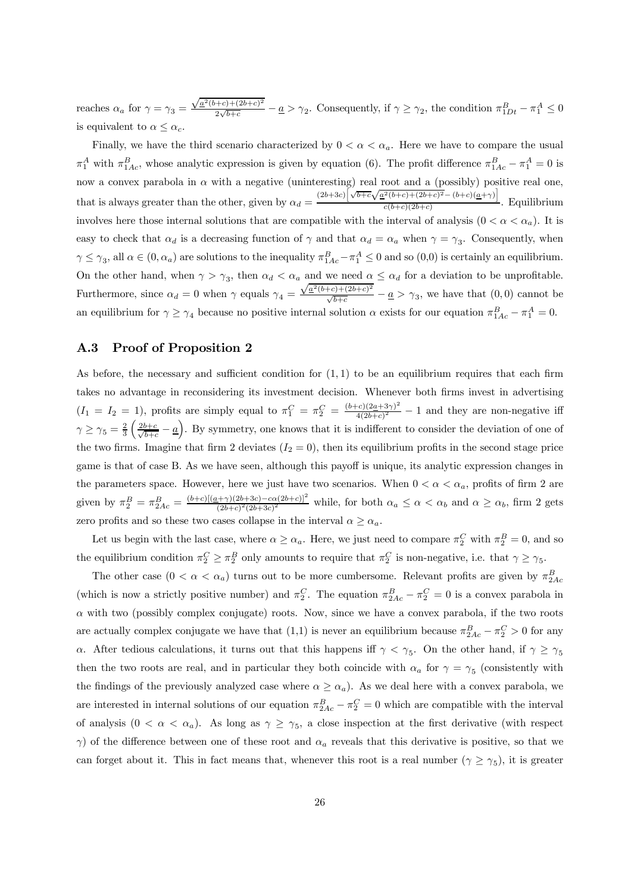reaches  $\alpha_a$  for  $\gamma = \gamma_3 =$  $\sqrt{\underline{a}^2(b+c)+(2b+c)^2}$  $\frac{(-e^{i\pi/2}+e^{i\pi/2})}{2\sqrt{b+c}} - \underline{a} > \gamma_2$ . Consequently, if  $\gamma \geq \gamma_2$ , the condition  $\pi_{1Dt}^B - \pi_1^A \leq 0$ is equivalent to  $\alpha \leq \alpha_c$ .

Finally, we have the third scenario characterized by  $0 < \alpha < \alpha_a$ . Here we have to compare the usual  $\pi_1^A$  with  $\pi_{1Ac}^B$ , whose analytic expression is given by equation (6). The profit difference  $\pi_{1Ac}^B - \pi_1^A = 0$  is now a convex parabola in  $\alpha$  with a negative (uninteresting) real root and a (possibly) positive real one, that is always greater than the other, given by  $\alpha_d = \frac{(2b+3c)\left[\sqrt{b+c}\sqrt{a^2(b+c)+(2b+c)^2}-(b+c)(a+r)\right]}{c(b+c)(2b+c)}$  $\frac{c(b+c)(2b+c)}{c(b+c)(2b+c)}$ . Equilibrium involves here those internal solutions that are compatible with the interval of analysis  $(0 < \alpha < \alpha_a)$ . It is easy to check that  $\alpha_d$  is a decreasing function of  $\gamma$  and that  $\alpha_d = \alpha_a$  when  $\gamma = \gamma_3$ . Consequently, when  $\gamma \leq \gamma_3$ , all  $\alpha \in (0, \alpha_a)$  are solutions to the inequality  $\pi_{1Ac}^B - \pi_1^A \leq 0$  and so  $(0,0)$  is certainly an equilibrium. On the other hand, when  $\gamma > \gamma_3$ , then  $\alpha_d < \alpha_a$  and we need  $\alpha \leq \alpha_d$  for a deviation to be unprofitable. Furthermore, since  $\alpha_d = 0$  when  $\gamma$  equals  $\gamma_4 =$  $\sqrt{\underline{a}^2(b+c)+(2b+c)^2}$  $\frac{\sqrt{b+c}}{\sqrt{b+c}}$  –  $\underline{a} > \gamma_3$ , we have that  $(0,0)$  cannot be an equilibrium for  $\gamma \ge \gamma_4$  because no positive internal solution  $\alpha$  exists for our equation  $\pi_{1Ac}^B - \pi_1^A = 0$ .

### A.3 Proof of Proposition 2

As before, the necessary and sufficient condition for  $(1,1)$  to be an equilibrium requires that each firm takes no advantage in reconsidering its investment decision. Whenever both firms invest in advertising  $(I_1 = I_2 = 1)$ , profits are simply equal to  $\pi_1^C = \pi_2^C = \frac{(b+c)(2a+3\gamma)^2}{4(2b+c)^2} - 1$  and they are non-negative iff  $\gamma \geq \gamma_5 = \frac{2}{3}$  $\left(\frac{2b+c}{\sqrt{b+c}}-\underline{a}\right)$ . By symmetry, one knows that it is indifferent to consider the deviation of one of the two firms. Imagine that firm 2 deviates  $(I_2 = 0)$ , then its equilibrium profits in the second stage price game is that of case B. As we have seen, although this payoff is unique, its analytic expression changes in the parameters space. However, here we just have two scenarios. When  $0 < \alpha < \alpha_a$ , profits of firm 2 are given by  $\pi_2^B = \pi_{2Ac}^B = \frac{(b+c)[(a+\gamma)(2b+3c)-c\alpha(2b+c)]^2}{(2b+c)^2(2b+3c)^2}$  while, for both  $\alpha_a \leq \alpha < \alpha_b$  and  $\alpha \geq \alpha_b$ , firm 2 gets zero profits and so these two cases collapse in the interval  $\alpha > \alpha_a$ .

Let us begin with the last case, where  $\alpha \ge \alpha_a$ . Here, we just need to compare  $\pi_2^C$  with  $\pi_2^B = 0$ , and so the equilibrium condition  $\pi_2^C \ge \pi_2^B$  only amounts to require that  $\pi_2^C$  is non-negative, i.e. that  $\gamma \ge \gamma_5$ .

The other case  $(0 < \alpha < \alpha_a)$  turns out to be more cumbersome. Relevant profits are given by  $\pi_{2Ac}^B$ (which is now a strictly positive number) and  $\pi_2^C$ . The equation  $\pi_{2Ac}^B - \pi_2^C = 0$  is a convex parabola in  $\alpha$  with two (possibly complex conjugate) roots. Now, since we have a convex parabola, if the two roots are actually complex conjugate we have that  $(1,1)$  is never an equilibrium because  $\pi_{2Ac}^B - \pi_2^C > 0$  for any α. After tedious calculations, it turns out that this happens iff  $\gamma < \gamma_5$ . On the other hand, if  $\gamma \ge \gamma_5$ then the two roots are real, and in particular they both coincide with  $\alpha_a$  for  $\gamma = \gamma_5$  (consistently with the findings of the previously analyzed case where  $\alpha \geq \alpha_a$ ). As we deal here with a convex parabola, we are interested in internal solutions of our equation  $\pi_{2Ac}^B - \pi_2^C = 0$  which are compatible with the interval of analysis  $(0 < \alpha < \alpha_a)$ . As long as  $\gamma \geq \gamma_5$ , a close inspection at the first derivative (with respect  $γ$ ) of the difference between one of these root and  $α<sub>a</sub>$  reveals that this derivative is positive, so that we can forget about it. This in fact means that, whenever this root is a real number  $(\gamma \ge \gamma_5)$ , it is greater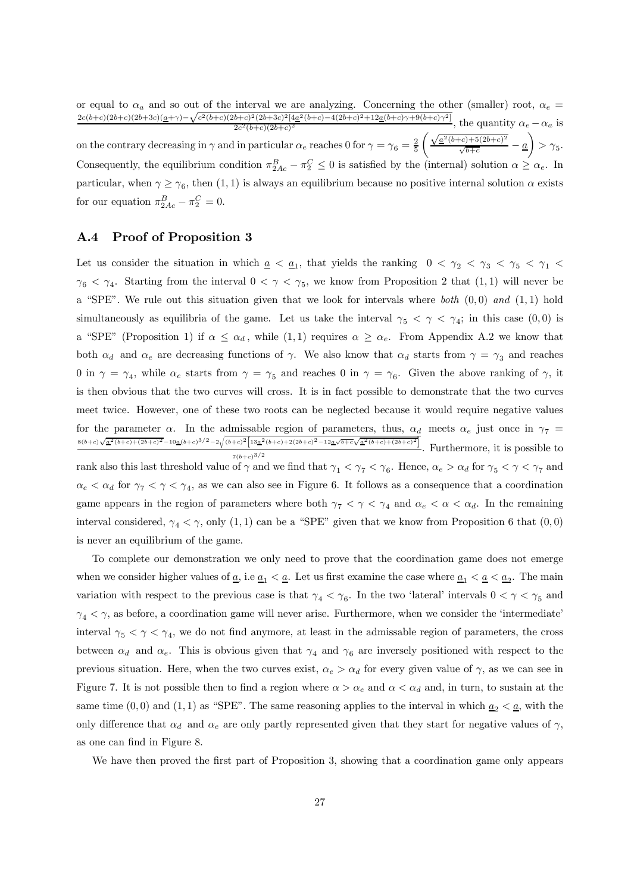or equal to  $\alpha_a$  and so out of the interval we are analyzing. Concerning the other (smaller) root,  $\alpha_e$  =  $\frac{c^2}{2c(b+c)(2b+c)(2b+3c)(a+v)-\sqrt{c^2(b+c)(2b+c)^2(2b+3c)^2[4a^2(b+c)-4(2b+c)^2+12a(b+c)\gamma+9(b+c)\gamma^2]}}$ , the quantity  $\alpha_e - \alpha_a$  is on the contrary decreasing in  $\gamma$  and in particular  $\alpha_e$  reaches 0 for  $\gamma = \gamma_6 = \frac{2}{5}$  $\int \sqrt{\underline{a}^2(b+c)+5(2b+c)^2}$  $\frac{(-c)+3(2b+c)}{\sqrt{b+c}}$  – <u>a</u>  $\setminus$  $>\gamma_5$ . Consequently, the equilibrium condition  $\pi_{2Ac}^B - \pi_2^C \leq 0$  is satisfied by the (internal) solution  $\alpha \geq \alpha_e$ . In particular, when  $\gamma \ge \gamma_6$ , then  $(1, 1)$  is always an equilibrium because no positive internal solution  $\alpha$  exists for our equation  $\pi_{2Ac}^B - \pi_2^C = 0$ .

### A.4 Proof of Proposition 3

Let us consider the situation in which  $\underline{a} < \underline{a}_1$ , that yields the ranking  $0 < \gamma_2 < \gamma_3 < \gamma_5 < \gamma_1 <$  $\gamma_6 < \gamma_4$ . Starting from the interval  $0 < \gamma < \gamma_5$ , we know from Proposition 2 that  $(1,1)$  will never be a "SPE". We rule out this situation given that we look for intervals where both  $(0, 0)$  and  $(1, 1)$  hold simultaneously as equilibria of the game. Let us take the interval  $\gamma_5 < \gamma < \gamma_4$ ; in this case  $(0,0)$  is a "SPE" (Proposition 1) if  $\alpha \leq \alpha_d$ , while  $(1,1)$  requires  $\alpha \geq \alpha_e$ . From Appendix A.2 we know that both  $\alpha_d$  and  $\alpha_e$  are decreasing functions of  $\gamma$ . We also know that  $\alpha_d$  starts from  $\gamma = \gamma_3$  and reaches 0 in  $\gamma = \gamma_4$ , while  $\alpha_e$  starts from  $\gamma = \gamma_5$  and reaches 0 in  $\gamma = \gamma_6$ . Given the above ranking of  $\gamma$ , it is then obvious that the two curves will cross. It is in fact possible to demonstrate that the two curves meet twice. However, one of these two roots can be neglected because it would require negative values for the parameter  $\alpha$ . In the admissable region of parameters, thus,  $\alpha_d$  meets  $\alpha_e$  just once in  $\gamma_7$  =  $8(b+c)\sqrt{\underline{a}^2(b+c)+(2b+c)^2}-10\underline{a}(b+c)^{3/2}-2\sqrt{(b+c)^2\Big[13\underline{a}^2(b+c)+2(2b+c)^2-12\underline{a}\sqrt{b+c}\sqrt{\underline{a}^2(b+c)+(2b+c)^2}\Big]}$  $\frac{1}{7(b+c)^{3/2}}$ . Furthermore, it is possible to rank also this last threshold value of  $\gamma$  and we find that  $\gamma_1 < \gamma_7 < \gamma_6$ . Hence,  $\alpha_e > \alpha_d$  for  $\gamma_5 < \gamma < \gamma_7$  and  $\alpha_e < \alpha_d$  for  $\gamma_7 < \gamma < \gamma_4$ , as we can also see in Figure 6. It follows as a consequence that a coordination game appears in the region of parameters where both  $\gamma_7 < \gamma < \gamma_4$  and  $\alpha_e < \alpha < \alpha_d$ . In the remaining interval considered,  $\gamma_4 < \gamma$ , only (1, 1) can be a "SPE" given that we know from Proposition 6 that (0,0) is never an equilibrium of the game.

To complete our demonstration we only need to prove that the coordination game does not emerge when we consider higher values of  $\underline{a}$ , i.e  $\underline{a}_1 < \underline{a}$ . Let us first examine the case where  $\underline{a}_1 < \underline{a} < \underline{a}_2$ . The main variation with respect to the previous case is that  $\gamma_4 < \gamma_6$ . In the two 'lateral' intervals  $0 < \gamma < \gamma_5$  and  $\gamma_4 < \gamma$ , as before, a coordination game will never arise. Furthermore, when we consider the 'intermediate' interval  $\gamma_5 < \gamma < \gamma_4$ , we do not find anymore, at least in the admissable region of parameters, the cross between  $\alpha_d$  and  $\alpha_e$ . This is obvious given that  $\gamma_4$  and  $\gamma_6$  are inversely positioned with respect to the previous situation. Here, when the two curves exist,  $\alpha_e > \alpha_d$  for every given value of  $\gamma$ , as we can see in Figure 7. It is not possible then to find a region where  $\alpha > \alpha_e$  and  $\alpha < \alpha_d$  and, in turn, to sustain at the same time  $(0,0)$  and  $(1,1)$  as "SPE". The same reasoning applies to the interval in which  $\underline{a}_2 < \underline{a}$ , with the only difference that  $\alpha_d$  and  $\alpha_e$  are only partly represented given that they start for negative values of  $\gamma$ , as one can find in Figure 8.

We have then proved the first part of Proposition 3, showing that a coordination game only appears